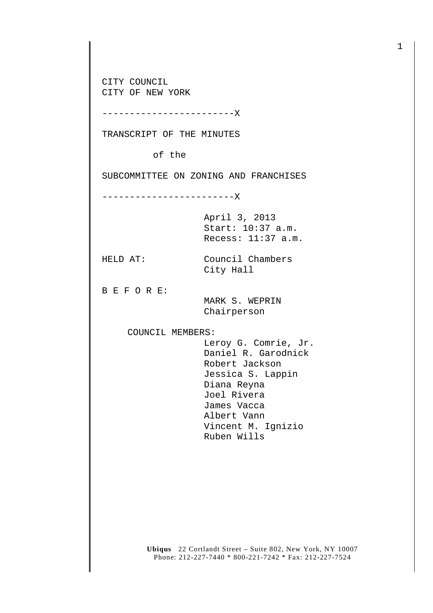CITY COUNCIL CITY OF NEW YORK

------------------------X

TRANSCRIPT OF THE MINUTES

of the

SUBCOMMITTEE ON ZONING AND FRANCHISES

------------------------X

April 3, 2013 Start: 10:37 a.m. Recess: 11:37 a.m.

HELD AT: Council Chambers City Hall

B E F O R E:

 MARK S. WEPRIN Chairperson

COUNCIL MEMBERS:

 Leroy G. Comrie, Jr. Daniel R. Garodnick Robert Jackson Jessica S. Lappin Diana Reyna Joel Rivera James Vacca Albert Vann Vincent M. Ignizio Ruben Wills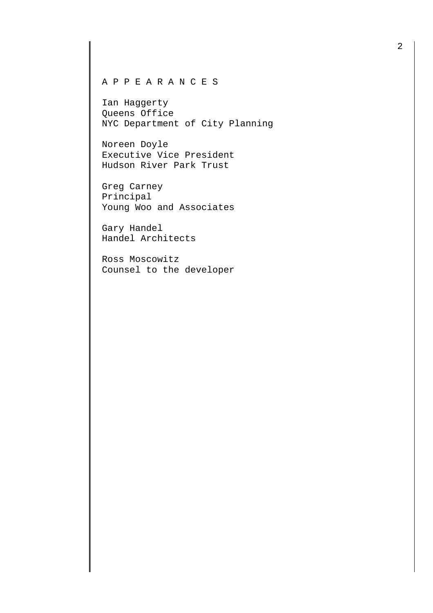## A P P E A R A N C E S

Ian Haggerty Queens Office NYC Department of City Planning

Noreen Doyle Executive Vice President Hudson River Park Trust

Greg Carney Principal Young Woo and Associates

Gary Handel Handel Architects

Ross Moscowitz Counsel to the developer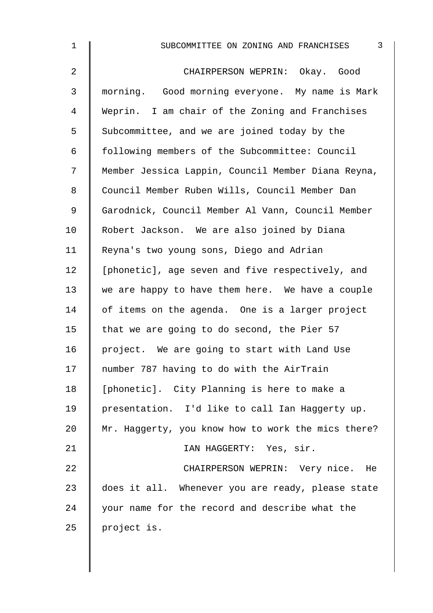| $\mathbf 1$    | 3<br>SUBCOMMITTEE ON ZONING AND FRANCHISES         |
|----------------|----------------------------------------------------|
| $\overline{a}$ | CHAIRPERSON WEPRIN: Okay. Good                     |
| 3              | morning. Good morning everyone. My name is Mark    |
| 4              | Weprin. I am chair of the Zoning and Franchises    |
| 5              | Subcommittee, and we are joined today by the       |
| 6              | following members of the Subcommittee: Council     |
| 7              | Member Jessica Lappin, Council Member Diana Reyna, |
| 8              | Council Member Ruben Wills, Council Member Dan     |
| 9              | Garodnick, Council Member Al Vann, Council Member  |
| 10             | Robert Jackson. We are also joined by Diana        |
| 11             | Reyna's two young sons, Diego and Adrian           |
| 12             | [phonetic], age seven and five respectively, and   |
| 13             | we are happy to have them here. We have a couple   |
| 14             | of items on the agenda. One is a larger project    |
| 15             | that we are going to do second, the Pier 57        |
| 16             | project. We are going to start with Land Use       |
| 17             | number 787 having to do with the AirTrain          |
| 18             | [phonetic]. City Planning is here to make a        |
| 19             | presentation. I'd like to call Ian Haggerty up.    |
| 20             | Mr. Haggerty, you know how to work the mics there? |
| 21             | IAN HAGGERTY: Yes, sir.                            |
| 22             | CHAIRPERSON WEPRIN: Very nice. He                  |
| 23             | does it all. Whenever you are ready, please state  |
| 24             | your name for the record and describe what the     |
| 25             | project is.                                        |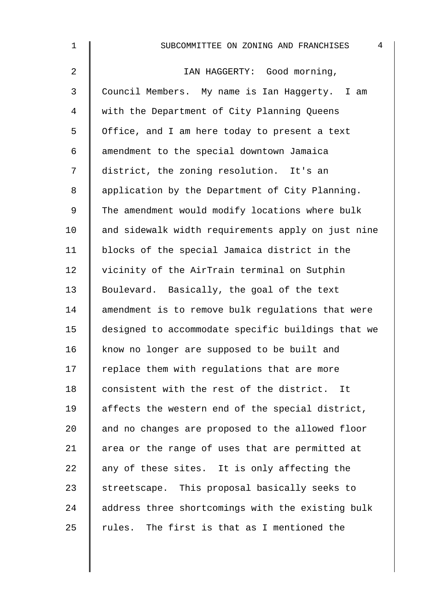| $\mathbf 1$    | $\overline{4}$<br>SUBCOMMITTEE ON ZONING AND FRANCHISES |
|----------------|---------------------------------------------------------|
| $\overline{a}$ | IAN HAGGERTY: Good morning,                             |
| 3              | Council Members. My name is Ian Haggerty. I am          |
| 4              | with the Department of City Planning Queens             |
| 5              | Office, and I am here today to present a text           |
| 6              | amendment to the special downtown Jamaica               |
| 7              | district, the zoning resolution. It's an                |
| 8              | application by the Department of City Planning.         |
| 9              | The amendment would modify locations where bulk         |
| 10             | and sidewalk width requirements apply on just nine      |
| 11             | blocks of the special Jamaica district in the           |
| 12             | vicinity of the AirTrain terminal on Sutphin            |
| 13             | Boulevard. Basically, the goal of the text              |
| 14             | amendment is to remove bulk regulations that were       |
| 15             | designed to accommodate specific buildings that we      |
| 16             | know no longer are supposed to be built and             |
| 17             | replace them with regulations that are more             |
| 18             | consistent with the rest of the district. It            |
| 19             | affects the western end of the special district,        |
| 20             | and no changes are proposed to the allowed floor        |
| 21             | area or the range of uses that are permitted at         |
| 22             | any of these sites. It is only affecting the            |
| 23             | streetscape. This proposal basically seeks to           |
| 24             | address three shortcomings with the existing bulk       |
| 25             | rules. The first is that as I mentioned the             |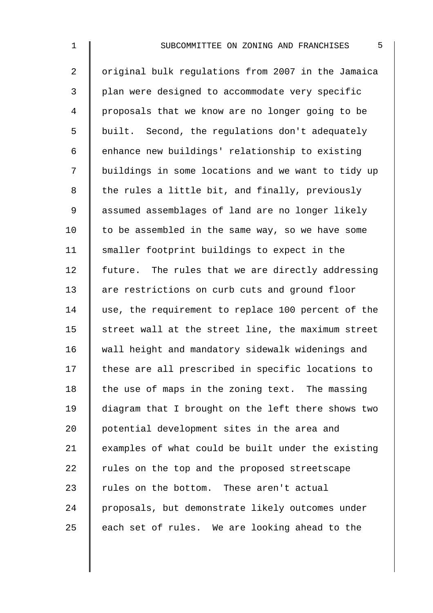2 | original bulk regulations from 2007 in the Jamaica 3 | plan were designed to accommodate very specific 4 proposals that we know are no longer going to be 5 built. Second, the regulations don't adequately 6 | enhance new buildings' relationship to existing 7 | buildings in some locations and we want to tidy up 8 the rules a little bit, and finally, previously 9 | assumed assemblages of land are no longer likely 10  $\parallel$  to be assembled in the same way, so we have some 11 Smaller footprint buildings to expect in the 12 future. The rules that we are directly addressing 13 are restrictions on curb cuts and ground floor 14 use, the requirement to replace 100 percent of the 15  $\parallel$  street wall at the street line, the maximum street 16 wall height and mandatory sidewalk widenings and  $17$  | these are all prescribed in specific locations to 18  $\parallel$  the use of maps in the zoning text. The massing 19 diagram that I brought on the left there shows two 20 potential development sites in the area and 21  $\parallel$  examples of what could be built under the existing 22  $\parallel$  rules on the top and the proposed streetscape 23  $\parallel$  rules on the bottom. These aren't actual 24 proposals, but demonstrate likely outcomes under 25  $\parallel$  each set of rules. We are looking ahead to the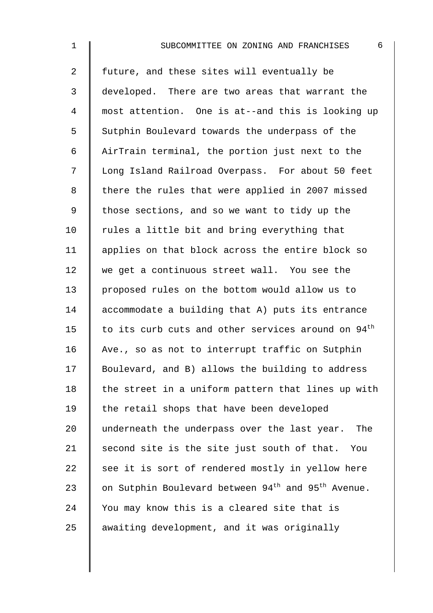2 I future, and these sites will eventually be 3 developed. There are two areas that warrant the 4 most attention. One is at--and this is looking up 5 Sutphin Boulevard towards the underpass of the 6 AirTrain terminal, the portion just next to the 7 | Long Island Railroad Overpass. For about 50 feet 8 | there the rules that were applied in 2007 missed 9  $\parallel$  those sections, and so we want to tidy up the 10  $\parallel$  rules a little bit and bring everything that 11 | applies on that block across the entire block so 12 we get a continuous street wall. You see the 13 proposed rules on the bottom would allow us to 14 accommodate a building that A) puts its entrance 15  $\parallel$  to its curb cuts and other services around on 94<sup>th</sup> 16 Ave., so as not to interrupt traffic on Sutphin 17 Boulevard, and B) allows the building to address 18  $\parallel$  the street in a uniform pattern that lines up with 19 | the retail shops that have been developed 20 underneath the underpass over the last year. The 21  $\parallel$  second site is the site just south of that. You  $22$  see it is sort of rendered mostly in yellow here 23  $\parallel$  on Sutphin Boulevard between 94<sup>th</sup> and 95<sup>th</sup> Avenue.  $24$  | You may know this is a cleared site that is  $25$  awaiting development, and it was originally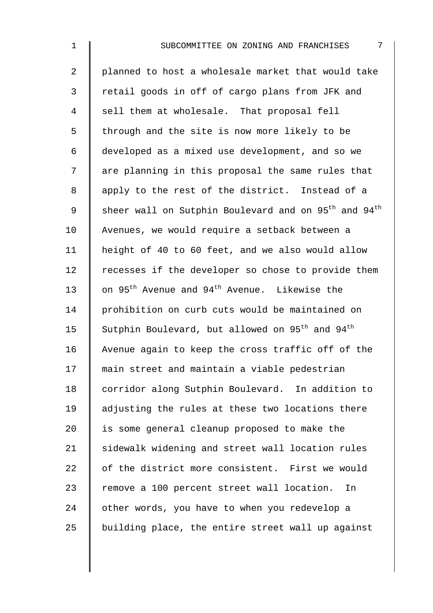2 | planned to host a wholesale market that would take 3 Fetail goods in off of cargo plans from JFK and 4 sell them at wholesale. That proposal fell  $5 \parallel$  through and the site is now more likely to be 6 developed as a mixed use development, and so we 7 | are planning in this proposal the same rules that 8 apply to the rest of the district. Instead of a 9  $\parallel$  sheer wall on Sutphin Boulevard and on 95<sup>th</sup> and 94<sup>th</sup> 10 Avenues, we would require a setback between a 11 height of 40 to 60 feet, and we also would allow 12 Tecesses if the developer so chose to provide them 13  $\parallel$  on 95<sup>th</sup> Avenue and 94<sup>th</sup> Avenue. Likewise the 14 | prohibition on curb cuts would be maintained on 15  $\parallel$  Sutphin Boulevard, but allowed on 95<sup>th</sup> and 94<sup>th</sup> 16 Avenue again to keep the cross traffic off of the 17 main street and maintain a viable pedestrian 18 corridor along Sutphin Boulevard. In addition to 19 adjusting the rules at these two locations there 20  $\parallel$  is some general cleanup proposed to make the 21 Sidewalk widening and street wall location rules 22 | of the district more consistent. First we would 23 Tremove a 100 percent street wall location. In 24 other words, you have to when you redevelop a  $25$  building place, the entire street wall up against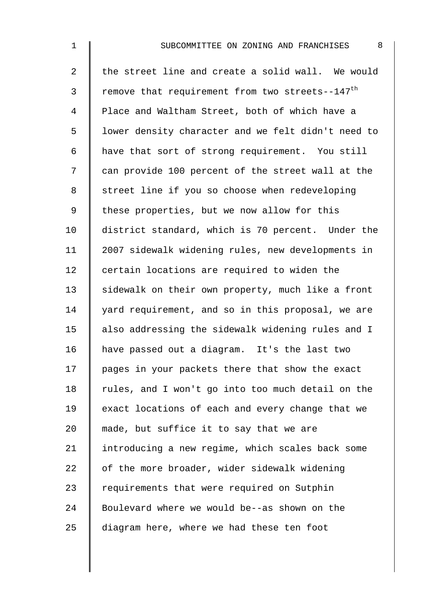2  $\parallel$  the street line and create a solid wall. We would 3 Temove that requirement from two streets--147<sup>th</sup> 4 | Place and Waltham Street, both of which have a 5 | lower density character and we felt didn't need to 6 have that sort of strong requirement. You still 7 | can provide 100 percent of the street wall at the 8 | street line if you so choose when redeveloping 9 | these properties, but we now allow for this 10 district standard, which is 70 percent. Under the 11 2007 sidewalk widening rules, new developments in 12 certain locations are required to widen the 13 Sidewalk on their own property, much like a front 14 yard requirement, and so in this proposal, we are 15 | also addressing the sidewalk widening rules and I 16 have passed out a diagram. It's the last two 17 pages in your packets there that show the exact  $18$  | rules, and I won't go into too much detail on the 19 exact locations of each and every change that we 20  $\parallel$  made, but suffice it to say that we are 21 | introducing a new regime, which scales back some 22  $\parallel$  of the more broader, wider sidewalk widening 23  $\parallel$  requirements that were required on Sutphin 24 Boulevard where we would be--as shown on the 25  $\parallel$  diagram here, where we had these ten foot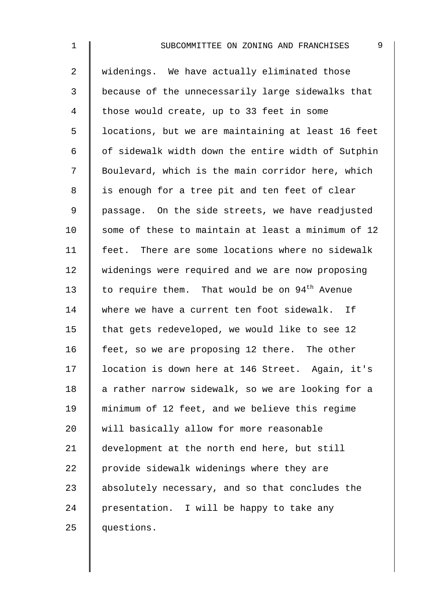2 widenings. We have actually eliminated those 3 because of the unnecessarily large sidewalks that 4 those would create, up to 33 feet in some 5 | locations, but we are maintaining at least 16 feet  $6 \parallel$  of sidewalk width down the entire width of Sutphin 7 Boulevard, which is the main corridor here, which 8 | is enough for a tree pit and ten feet of clear 9 | passage. On the side streets, we have readjusted 10  $\parallel$  some of these to maintain at least a minimum of 12 11 | feet. There are some locations where no sidewalk 12 widenings were required and we are now proposing 13  $\parallel$  to require them. That would be on 94<sup>th</sup> Avenue 14 where we have a current ten foot sidewalk. If 15  $\parallel$  that gets redeveloped, we would like to see 12 16 feet, so we are proposing 12 there. The other 17 location is down here at 146 Street. Again, it's 18  $\parallel$  a rather narrow sidewalk, so we are looking for a 19 minimum of 12 feet, and we believe this regime 20 Weill basically allow for more reasonable 21 development at the north end here, but still 22  $\parallel$  provide sidewalk widenings where they are 23 absolutely necessary, and so that concludes the 24 | presentation. I will be happy to take any 25 questions.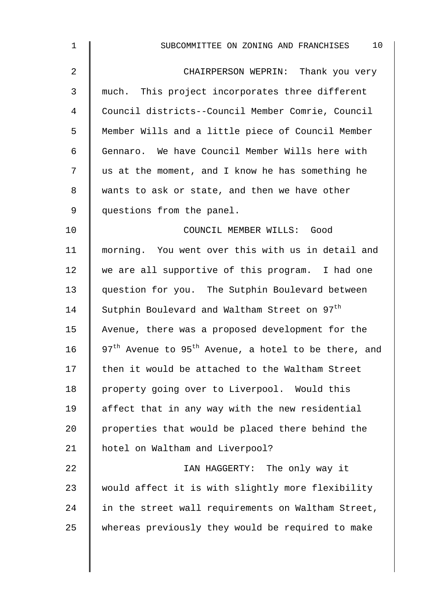| $\mathbf 1$    | 10<br>SUBCOMMITTEE ON ZONING AND FRANCHISES                                  |
|----------------|------------------------------------------------------------------------------|
| 2              | CHAIRPERSON WEPRIN: Thank you very                                           |
| 3              | much. This project incorporates three different                              |
| $\overline{4}$ | Council districts--Council Member Comrie, Council                            |
| 5              | Member Wills and a little piece of Council Member                            |
| 6              | Gennaro. We have Council Member Wills here with                              |
| 7              | us at the moment, and I know he has something he                             |
| 8              | wants to ask or state, and then we have other                                |
| 9              | questions from the panel.                                                    |
| 10             | COUNCIL MEMBER WILLS: Good                                                   |
| 11             | morning. You went over this with us in detail and                            |
| 12             | we are all supportive of this program. I had one                             |
| 13             | question for you. The Sutphin Boulevard between                              |
| 14             | Sutphin Boulevard and Waltham Street on 97 <sup>th</sup>                     |
| 15             | Avenue, there was a proposed development for the                             |
| 16             | 97 <sup>th</sup> Avenue to 95 <sup>th</sup> Avenue, a hotel to be there, and |
| 17             | then it would be attached to the Waltham Street                              |
| 18             | property going over to Liverpool. Would this                                 |
| 19             | affect that in any way with the new residential                              |
| 20             | properties that would be placed there behind the                             |
| 21             | hotel on Waltham and Liverpool?                                              |
| 22             | IAN HAGGERTY: The only way it                                                |
| 23             | would affect it is with slightly more flexibility                            |
| 24             | in the street wall requirements on Waltham Street,                           |
| 25             | whereas previously they would be required to make                            |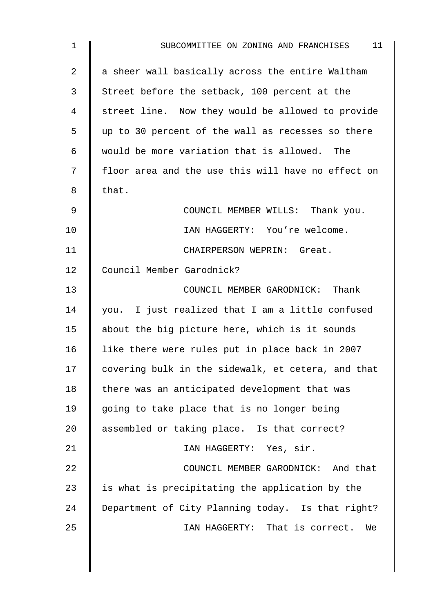| $\mathbf 1$    | 11<br>SUBCOMMITTEE ON ZONING AND FRANCHISES        |
|----------------|----------------------------------------------------|
| $\overline{2}$ | a sheer wall basically across the entire Waltham   |
| 3              | Street before the setback, 100 percent at the      |
| 4              | street line. Now they would be allowed to provide  |
| 5              | up to 30 percent of the wall as recesses so there  |
| 6              | would be more variation that is allowed. The       |
| 7              | floor area and the use this will have no effect on |
| 8              | that.                                              |
| 9              | COUNCIL MEMBER WILLS: Thank you.                   |
| 10             | IAN HAGGERTY: You're welcome.                      |
| 11             | CHAIRPERSON WEPRIN: Great.                         |
| 12             | Council Member Garodnick?                          |
| 13             | COUNCIL MEMBER GARODNICK: Thank                    |
| 14             | you. I just realized that I am a little confused   |
| 15             | about the big picture here, which is it sounds     |
| 16             | like there were rules put in place back in 2007    |
| 17             | covering bulk in the sidewalk, et cetera, and that |
| 18             | there was an anticipated development that was      |
| 19             | going to take place that is no longer being        |
| 20             | assembled or taking place. Is that correct?        |
| 21             | IAN HAGGERTY: Yes, sir.                            |
| 22             | COUNCIL MEMBER GARODNICK: And that                 |
| 23             | is what is precipitating the application by the    |
| 24             | Department of City Planning today. Is that right?  |
| 25             | IAN HAGGERTY: That is correct.<br>We               |
|                |                                                    |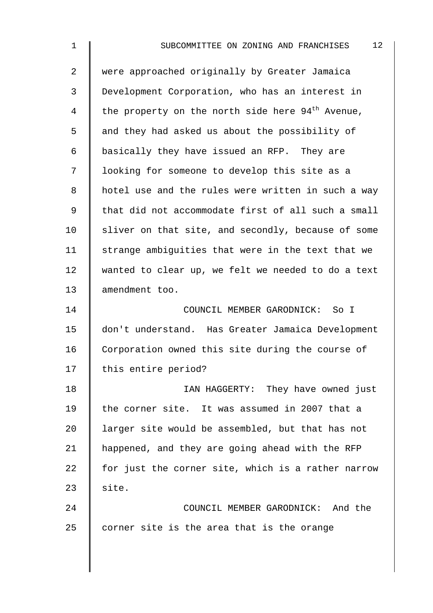2 | were approached originally by Greater Jamaica 3 Development Corporation, who has an interest in 4 the property on the north side here  $94<sup>th</sup>$  Avenue, 5 and they had asked us about the possibility of 6 basically they have issued an RFP. They are 7 | looking for someone to develop this site as a 8 | hotel use and the rules were written in such a way 9 | that did not accommodate first of all such a small  $10$  sliver on that site, and secondly, because of some 11  $\parallel$  strange ambiguities that were in the text that we 12 wanted to clear up, we felt we needed to do a text 13 || amendment too. 14 COUNCIL MEMBER GARODNICK: So I 15 don't understand. Has Greater Jamaica Development 16 Corporation owned this site during the course of 17 | this entire period? 18 **I** IAN HAGGERTY: They have owned just 19 | the corner site. It was assumed in 2007 that a 20  $\parallel$  larger site would be assembled, but that has not 21 | happened, and they are going ahead with the RFP

22  $\parallel$  for just the corner site, which is a rather narrow  $23$  site.

24 **COUNCIL MEMBER GARODNICK:** And the 25  $\parallel$  corner site is the area that is the orange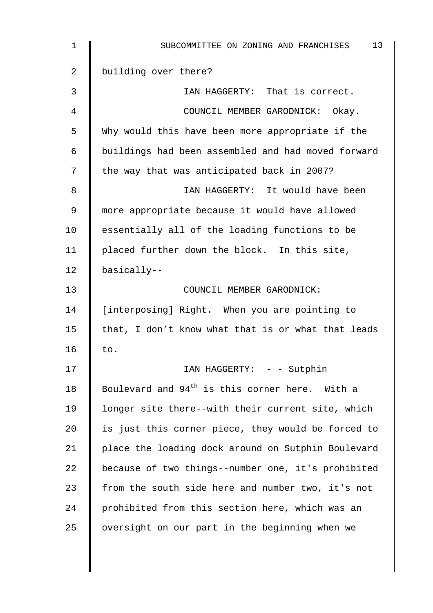| 1  | 13<br>SUBCOMMITTEE ON ZONING AND FRANCHISES                |
|----|------------------------------------------------------------|
| 2  | building over there?                                       |
| 3  | IAN HAGGERTY: That is correct.                             |
| 4  | COUNCIL MEMBER GARODNICK: Okay.                            |
| 5  | Why would this have been more appropriate if the           |
| 6  | buildings had been assembled and had moved forward         |
| 7  | the way that was anticipated back in 2007?                 |
| 8  | IAN HAGGERTY: It would have been                           |
| 9  | more appropriate because it would have allowed             |
| 10 | essentially all of the loading functions to be             |
| 11 | placed further down the block. In this site,               |
| 12 | basically--                                                |
| 13 | COUNCIL MEMBER GARODNICK:                                  |
| 14 | [interposing] Right. When you are pointing to              |
| 15 | that, I don't know what that is or what that leads         |
| 16 | to.                                                        |
| 17 | IAN HAGGERTY: - - Sutphin                                  |
| 18 | Boulevard and 94 <sup>th</sup> is this corner here. With a |
| 19 | longer site there--with their current site, which          |
| 20 | is just this corner piece, they would be forced to         |
| 21 | place the loading dock around on Sutphin Boulevard         |
| 22 | because of two things--number one, it's prohibited         |
| 23 | from the south side here and number two, it's not          |
| 24 | prohibited from this section here, which was an            |
| 25 | oversight on our part in the beginning when we             |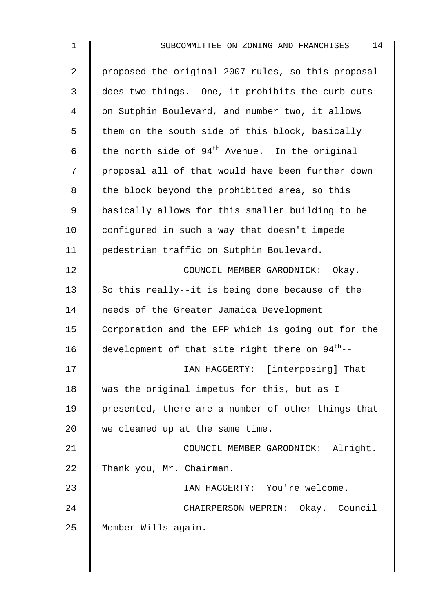| $\overline{2}$ | proposed the original 2007 rules, so this proposal          |
|----------------|-------------------------------------------------------------|
| 3              | does two things. One, it prohibits the curb cuts            |
| 4              | on Sutphin Boulevard, and number two, it allows             |
| 5              | them on the south side of this block, basically             |
| 6              | the north side of $94th$ Avenue. In the original            |
| 7              | proposal all of that would have been further down           |
| 8              | the block beyond the prohibited area, so this               |
| $\mathsf 9$    | basically allows for this smaller building to be            |
| 10             | configured in such a way that doesn't impede                |
| 11             | pedestrian traffic on Sutphin Boulevard.                    |
| 12             | COUNCIL MEMBER GARODNICK:<br>Okay.                          |
| 13             | So this really--it is being done because of the             |
| 14             | needs of the Greater Jamaica Development                    |
| 15             | Corporation and the EFP which is going out for the          |
| 16             | development of that site right there on 94 <sup>th</sup> -- |
| 17             | IAN HAGGERTY: [interposing] That                            |
| 18             | was the original impetus for this, but as I                 |
| 19             | presented, there are a number of other things that          |
| 20             | we cleaned up at the same time.                             |
| 21             | COUNCIL MEMBER GARODNICK: Alright.                          |
| 22             | Thank you, Mr. Chairman.                                    |
| 23             | IAN HAGGERTY: You're welcome.                               |
| 24             | CHAIRPERSON WEPRIN: Okay. Council                           |
| 25             | Member Wills again.                                         |
|                |                                                             |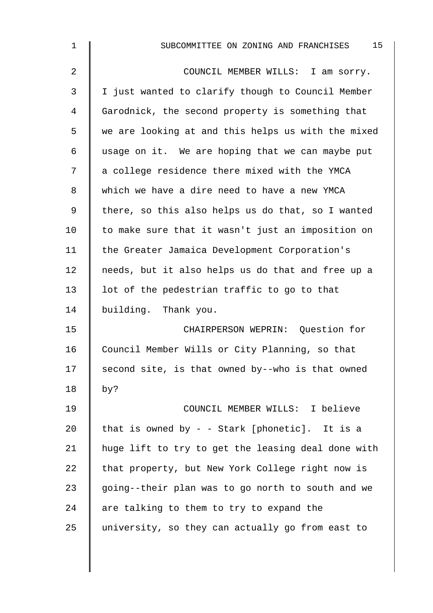| $\mathbf{1}$ | 15<br>SUBCOMMITTEE ON ZONING AND FRANCHISES        |
|--------------|----------------------------------------------------|
| 2            | COUNCIL MEMBER WILLS: I am sorry.                  |
| 3            | I just wanted to clarify though to Council Member  |
| 4            | Garodnick, the second property is something that   |
| 5            | we are looking at and this helps us with the mixed |
| 6            | usage on it. We are hoping that we can maybe put   |
| 7            | a college residence there mixed with the YMCA      |
| 8            | which we have a dire need to have a new YMCA       |
| 9            | there, so this also helps us do that, so I wanted  |
| 10           | to make sure that it wasn't just an imposition on  |
| 11           | the Greater Jamaica Development Corporation's      |
| 12           | needs, but it also helps us do that and free up a  |
| 13           | lot of the pedestrian traffic to go to that        |
| 14           | building. Thank you.                               |
| 15           | CHAIRPERSON WEPRIN: Question for                   |
| 16           | Council Member Wills or City Planning, so that     |
| 17           | second site, is that owned by--who is that owned   |
| 18           | by?                                                |
| 19           | COUNCIL MEMBER WILLS: I believe                    |
| 20           | that is owned by - - Stark [phonetic]. It is a     |
| 21           | huge lift to try to get the leasing deal done with |
| 22           | that property, but New York College right now is   |
| 23           | going--their plan was to go north to south and we  |
| 24           | are talking to them to try to expand the           |
| 25           | university, so they can actually go from east to   |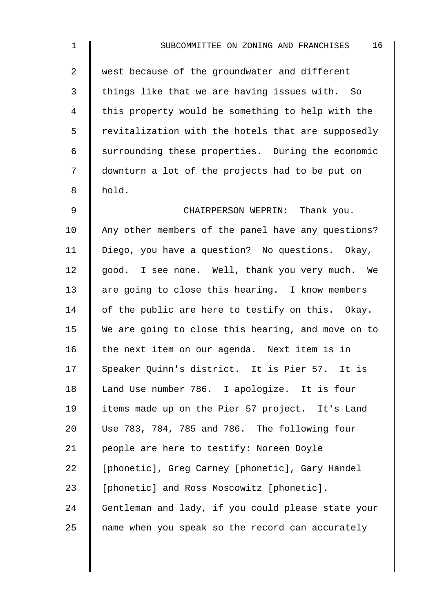2 west because of the groundwater and different  $3$  things like that we are having issues with. So 4 | this property would be something to help with the  $5 \parallel$  revitalization with the hotels that are supposedly 6 Surrounding these properties. During the economic 7 downturn a lot of the projects had to be put on  $8 \parallel$  hold.

9 CHAIRPERSON WEPRIN: Thank you. 10 Any other members of the panel have any questions? 11 | Diego, you have a question? No questions. Okay, 12  $\parallel$  good. I see none. Well, thank you very much. We 13 are going to close this hearing. I know members 14  $\parallel$  of the public are here to testify on this. Okay. 15 We are going to close this hearing, and move on to 16  $\parallel$  the next item on our agenda. Next item is in 17 Speaker Ouinn's district. It is Pier 57. It is 18 Land Use number 786. I apologize. It is four 19 items made up on the Pier 57 project. It's Land 20 Use 783, 784, 785 and 786. The following four 21 | people are here to testify: Noreen Doyle 22 | [phonetic], Greg Carney [phonetic], Gary Handel 23 | [phonetic] and Ross Moscowitz [phonetic]. 24 Gentleman and lady, if you could please state your 25 | name when you speak so the record can accurately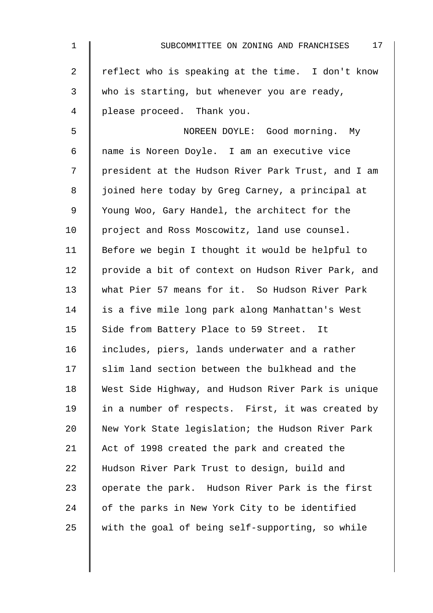| 1              | 17<br>SUBCOMMITTEE ON ZONING AND FRANCHISES        |
|----------------|----------------------------------------------------|
| $\overline{a}$ | reflect who is speaking at the time. I don't know  |
| 3              | who is starting, but whenever you are ready,       |
| 4              | please proceed. Thank you.                         |
| 5              | NOREEN DOYLE: Good morning. My                     |
| 6              | name is Noreen Doyle. I am an executive vice       |
| 7              | president at the Hudson River Park Trust, and I am |
| 8              | joined here today by Greg Carney, a principal at   |
| 9              | Young Woo, Gary Handel, the architect for the      |
| 10             | project and Ross Moscowitz, land use counsel.      |
| 11             | Before we begin I thought it would be helpful to   |
| 12             | provide a bit of context on Hudson River Park, and |
| 13             | what Pier 57 means for it. So Hudson River Park    |
| 14             | is a five mile long park along Manhattan's West    |
| 15             | Side from Battery Place to 59 Street. It           |
| 16             | includes, piers, lands underwater and a rather     |
| 17             | slim land section between the bulkhead and the     |
| 18             | West Side Highway, and Hudson River Park is unique |
| 19             | in a number of respects. First, it was created by  |
| 20             | New York State legislation; the Hudson River Park  |
| 21             | Act of 1998 created the park and created the       |
| 22             | Hudson River Park Trust to design, build and       |
| 23             | operate the park. Hudson River Park is the first   |
| 24             | of the parks in New York City to be identified     |
| 25             | with the goal of being self-supporting, so while   |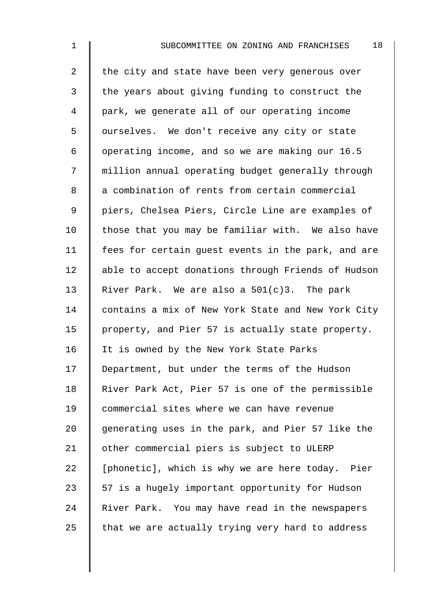2  $\parallel$  the city and state have been very generous over  $3 \parallel$  the years about giving funding to construct the 4 park, we generate all of our operating income 5 | ourselves. We don't receive any city or state 6 | operating income, and so we are making our  $16.5$ 7 | million annual operating budget generally through 8 a combination of rents from certain commercial 9 || piers, Chelsea Piers, Circle Line are examples of  $10$  | those that you may be familiar with. We also have 11 | fees for certain quest events in the park, and are 12 | able to accept donations through Friends of Hudson 13 River Park. We are also a  $501(c)3$ . The park 14 contains a mix of New York State and New York City 15 | property, and Pier 57 is actually state property. 16 | It is owned by the New York State Parks 17 Department, but under the terms of the Hudson 18 | River Park Act, Pier 57 is one of the permissible 19 Commercial sites where we can have revenue 20  $\parallel$  generating uses in the park, and Pier 57 like the 21 | other commercial piers is subject to ULERP  $22$  | [phonetic], which is why we are here today. Pier 23  $\parallel$  57 is a hugely important opportunity for Hudson 24 River Park. You may have read in the newspapers 25  $\parallel$  that we are actually trying very hard to address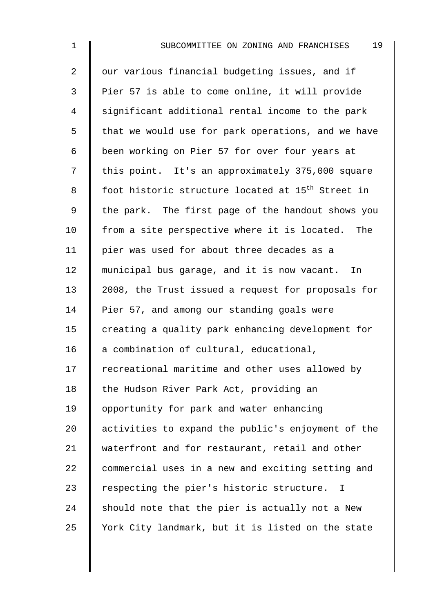2 | our various financial budgeting issues, and if 3 Pier 57 is able to come online, it will provide 4 significant additional rental income to the park  $5 \parallel$  that we would use for park operations, and we have 6 | been working on Pier 57 for over four years at 7 | this point. It's an approximately 375,000 square 8  $\parallel$  foot historic structure located at 15<sup>th</sup> Street in 9 | the park. The first page of the handout shows you  $10$  | from a site perspective where it is located. The 11 | pier was used for about three decades as a 12 municipal bus garage, and it is now vacant. In 13 2008, the Trust issued a request for proposals for 14 Pier 57, and among our standing goals were  $15$   $\parallel$  creating a quality park enhancing development for 16  $\parallel$  a combination of cultural, educational, 17 Tecreational maritime and other uses allowed by 18 | the Hudson River Park Act, providing an 19 | opportunity for park and water enhancing 20  $\parallel$  activities to expand the public's enjoyment of the 21 waterfront and for restaurant, retail and other 22 commercial uses in a new and exciting setting and 23 Tespecting the pier's historic structure. I 24  $\parallel$  should note that the pier is actually not a New 25 Vork City landmark, but it is listed on the state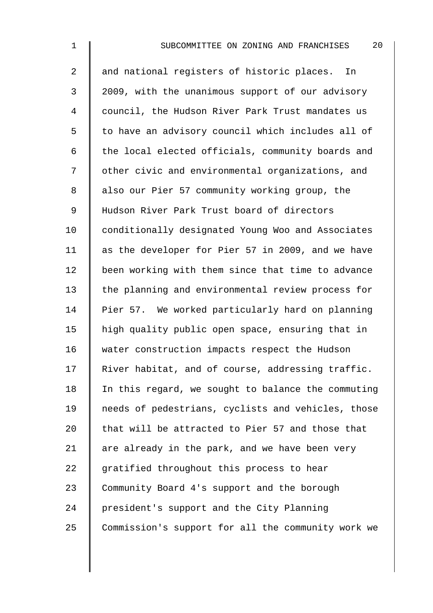2 || and national registers of historic places. In 3 2009, with the unanimous support of our advisory 4 | council, the Hudson River Park Trust mandates us 5 | to have an advisory council which includes all of  $6$  | the local elected officials, community boards and 7 | other civic and environmental organizations, and 8 also our Pier 57 community working group, the 9 || Hudson River Park Trust board of directors 10 conditionally designated Young Woo and Associates 11 as the developer for Pier 57 in 2009, and we have 12 been working with them since that time to advance 13 the planning and environmental review process for 14 Pier 57. We worked particularly hard on planning 15 | high quality public open space, ensuring that in 16 water construction impacts respect the Hudson 17 River habitat, and of course, addressing traffic. 18  $\parallel$  In this regard, we sought to balance the commuting 19 | needs of pedestrians, cyclists and vehicles, those 20  $\parallel$  that will be attracted to Pier 57 and those that 21  $\parallel$  are already in the park, and we have been very 22  $\parallel$  gratified throughout this process to hear 23 Community Board 4's support and the borough 24 president's support and the City Planning 25 Commission's support for all the community work we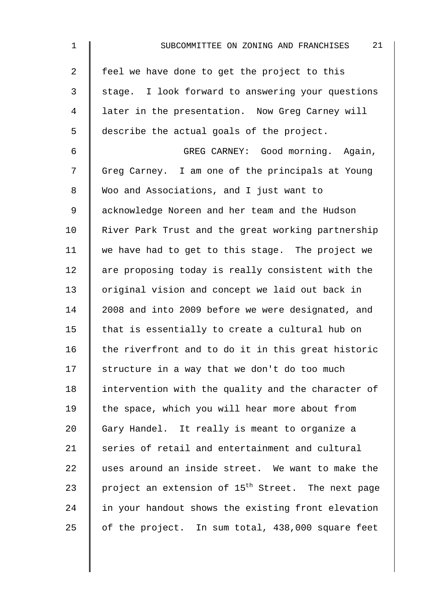| 1  | 21<br>SUBCOMMITTEE ON ZONING AND FRANCHISES                    |
|----|----------------------------------------------------------------|
| 2  | feel we have done to get the project to this                   |
| 3  | stage. I look forward to answering your questions              |
| 4  | later in the presentation. Now Greg Carney will                |
| 5  | describe the actual goals of the project.                      |
| 6  | GREG CARNEY: Good morning. Again,                              |
| 7  | Greg Carney. I am one of the principals at Young               |
| 8  | Woo and Associations, and I just want to                       |
| 9  | acknowledge Noreen and her team and the Hudson                 |
| 10 | River Park Trust and the great working partnership             |
| 11 | we have had to get to this stage. The project we               |
| 12 | are proposing today is really consistent with the              |
| 13 | original vision and concept we laid out back in                |
| 14 | 2008 and into 2009 before we were designated, and              |
| 15 | that is essentially to create a cultural hub on                |
| 16 | the riverfront and to do it in this great historic             |
| 17 | structure in a way that we don't do too much                   |
| 18 | intervention with the quality and the character of             |
| 19 | the space, which you will hear more about from                 |
| 20 | Gary Handel. It really is meant to organize a                  |
| 21 | series of retail and entertainment and cultural                |
| 22 | uses around an inside street. We want to make the              |
| 23 | project an extension of 15 <sup>th</sup> Street. The next page |
| 24 | in your handout shows the existing front elevation             |
| 25 | of the project. In sum total, 438,000 square feet              |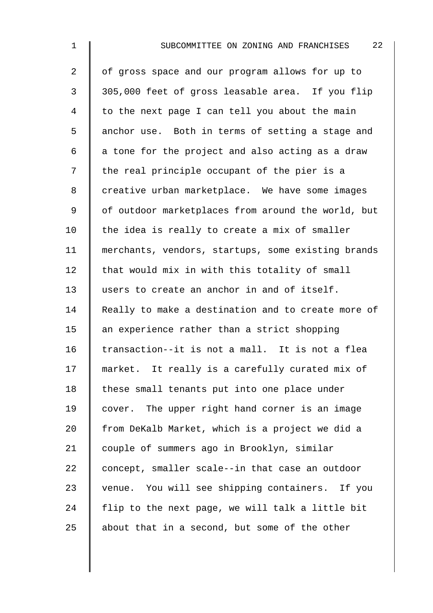2 of gross space and our program allows for up to 3 || 305,000 feet of gross leasable area. If you flip  $4 \parallel$  to the next page I can tell you about the main 5 anchor use. Both in terms of setting a stage and  $6 \parallel$  a tone for the project and also acting as a draw  $7 \parallel$  the real principle occupant of the pier is a 8 creative urban marketplace. We have some images 9 | of outdoor marketplaces from around the world, but 10  $\parallel$  the idea is really to create a mix of smaller 11 merchants, vendors, startups, some existing brands  $12$  that would mix in with this totality of small 13 users to create an anchor in and of itself. 14 Really to make a destination and to create more of 15  $\parallel$  an experience rather than a strict shopping 16 transaction--it is not a mall. It is not a flea 17 market. It really is a carefully curated mix of 18 | these small tenants put into one place under 19 cover. The upper right hand corner is an image 20  $\parallel$  from DeKalb Market, which is a project we did a 21 | couple of summers ago in Brooklyn, similar 22 concept, smaller scale--in that case an outdoor 23 venue. You will see shipping containers. If you 24  $\parallel$  flip to the next page, we will talk a little bit 25  $\parallel$  about that in a second, but some of the other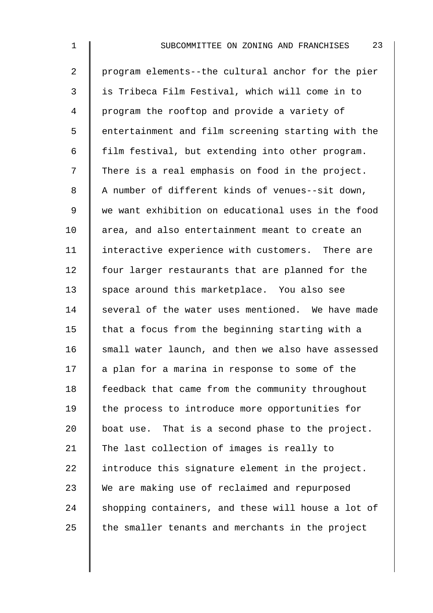2 program elements--the cultural anchor for the pier 3 is Tribeca Film Festival, which will come in to 4 | program the rooftop and provide a variety of 5 | entertainment and film screening starting with the 6  $\parallel$  film festival, but extending into other program.  $7 \parallel$  There is a real emphasis on food in the project. 8 A number of different kinds of venues--sit down, 9 we want exhibition on educational uses in the food 10 area, and also entertainment meant to create an 11 | interactive experience with customers. There are 12 | four larger restaurants that are planned for the 13 space around this marketplace. You also see 14 Several of the water uses mentioned. We have made 15  $\parallel$  that a focus from the beginning starting with a 16  $\parallel$  small water launch, and then we also have assessed  $17$  | a plan for a marina in response to some of the 18 Feedback that came from the community throughout 19 the process to introduce more opportunities for 20  $\parallel$  boat use. That is a second phase to the project. 21 The last collection of images is really to  $22$  | introduce this signature element in the project. 23 We are making use of reclaimed and repurposed  $24$  shopping containers, and these will house a lot of  $25$  the smaller tenants and merchants in the project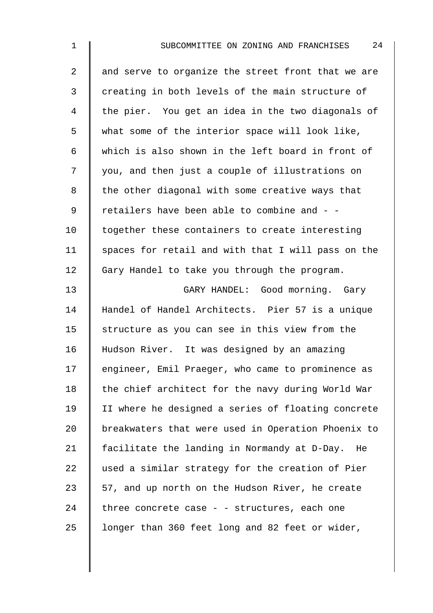| 2  | and serve to organize the street front that we are |
|----|----------------------------------------------------|
| 3  | creating in both levels of the main structure of   |
| 4  | the pier. You get an idea in the two diagonals of  |
| 5  | what some of the interior space will look like,    |
| 6  | which is also shown in the left board in front of  |
| 7  | you, and then just a couple of illustrations on    |
| 8  | the other diagonal with some creative ways that    |
| 9  | retailers have been able to combine and - -        |
| 10 | together these containers to create interesting    |
| 11 | spaces for retail and with that I will pass on the |
| 12 | Gary Handel to take you through the program.       |
| 13 | GARY HANDEL: Good morning. Gary                    |
| 14 | Handel of Handel Architects. Pier 57 is a unique   |
| 15 | structure as you can see in this view from the     |
| 16 | Hudson River. It was designed by an amazing        |
| 17 | engineer, Emil Praeger, who came to prominence as  |
| 18 | the chief architect for the navy during World War  |
| 19 | II where he designed a series of floating concrete |
| 20 | breakwaters that were used in Operation Phoenix to |
| 21 | facilitate the landing in Normandy at D-Day. He    |
| 22 | used a similar strategy for the creation of Pier   |
| 23 | 57, and up north on the Hudson River, he create    |
| 24 | three concrete case - - structures, each one       |
| 25 | longer than 360 feet long and 82 feet or wider,    |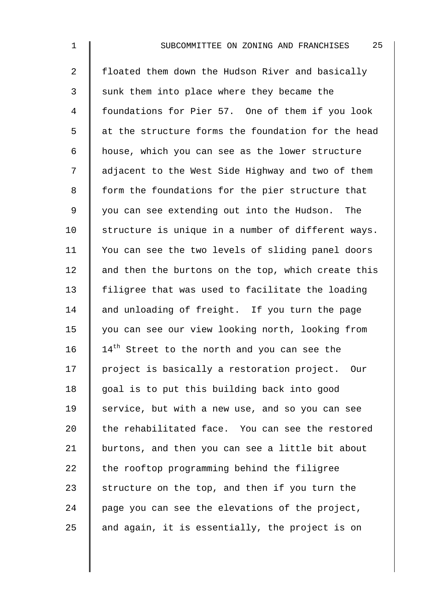2 floated them down the Hudson River and basically 3 Sunk them into place where they became the 4 foundations for Pier 57. One of them if you look 5 | at the structure forms the foundation for the head 6 house, which you can see as the lower structure 7 | adjacent to the West Side Highway and two of them 8 | form the foundations for the pier structure that 9 you can see extending out into the Hudson. The 10 Structure is unique in a number of different ways. 11 You can see the two levels of sliding panel doors 12  $\parallel$  and then the burtons on the top, which create this 13 filigree that was used to facilitate the loading 14  $\parallel$  and unloading of freight. If you turn the page 15 you can see our view looking north, looking from 16  $\parallel$  14<sup>th</sup> Street to the north and you can see the 17 | project is basically a restoration project. Our 18 || goal is to put this building back into good 19 Service, but with a new use, and so you can see 20  $\parallel$  the rehabilitated face. You can see the restored 21 | burtons, and then you can see a little bit about 22  $\parallel$  the rooftop programming behind the filigree 23 Structure on the top, and then if you turn the 24 page you can see the elevations of the project, 25  $\parallel$  and again, it is essentially, the project is on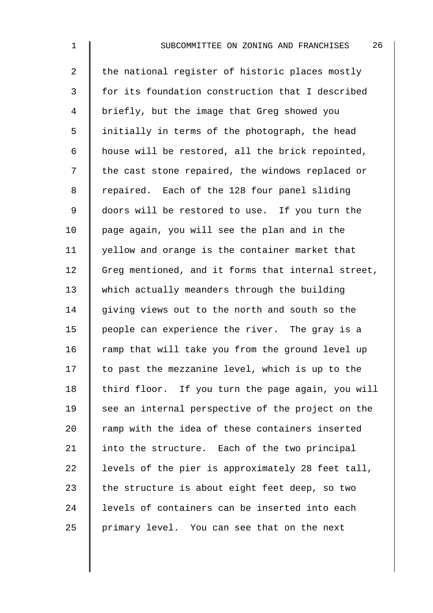2  $\parallel$  the national register of historic places mostly 3 | for its foundation construction that I described 4 briefly, but the image that Greg showed you  $5 \parallel$  initially in terms of the photograph, the head 6  $\parallel$  house will be restored, all the brick repointed, 7 | the cast stone repaired, the windows replaced or 8 | repaired. Each of the 128 four panel sliding 9 doors will be restored to use. If you turn the 10 page again, you will see the plan and in the 11 | yellow and orange is the container market that 12 Greg mentioned, and it forms that internal street, 13 which actually meanders through the building  $14$  giving views out to the north and south so the 15 | people can experience the river. The gray is a 16  $\parallel$  ramp that will take you from the ground level up  $17$   $\parallel$  to past the mezzanine level, which is up to the 18 | third floor. If you turn the page again, you will  $19$  see an internal perspective of the project on the  $20$   $\parallel$  ramp with the idea of these containers inserted 21  $\parallel$  into the structure. Each of the two principal 22  $\parallel$  levels of the pier is approximately 28 feet tall, 23  $\parallel$  the structure is about eight feet deep, so two 24 I levels of containers can be inserted into each  $25$  | primary level. You can see that on the next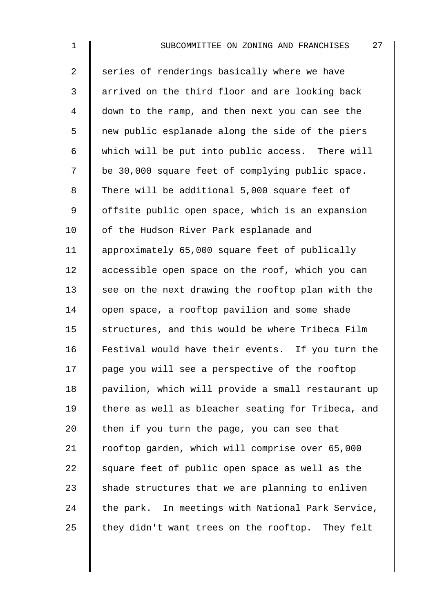2 Series of renderings basically where we have 3 | arrived on the third floor and are looking back 4 down to the ramp, and then next you can see the 5 | new public esplanade along the side of the piers 6  $\parallel$  which will be put into public access. There will 7 | be 30,000 square feet of complying public space. 8 There will be additional 5,000 square feet of 9 | offsite public open space, which is an expansion 10 | of the Hudson River Park esplanade and 11 approximately 65,000 square feet of publically 12 accessible open space on the roof, which you can  $13$  see on the next drawing the rooftop plan with the 14 open space, a rooftop pavilion and some shade 15 structures, and this would be where Tribeca Film 16 Festival would have their events. If you turn the  $17$   $\parallel$  page you will see a perspective of the rooftop 18 | pavilion, which will provide a small restaurant up 19 there as well as bleacher seating for Tribeca, and 20 then if you turn the page, you can see that 21 | rooftop garden, which will comprise over 65,000 22  $\parallel$  square feet of public open space as well as the 23  $\parallel$  shade structures that we are planning to enliven  $24$  the park. In meetings with National Park Service, 25  $\parallel$  they didn't want trees on the rooftop. They felt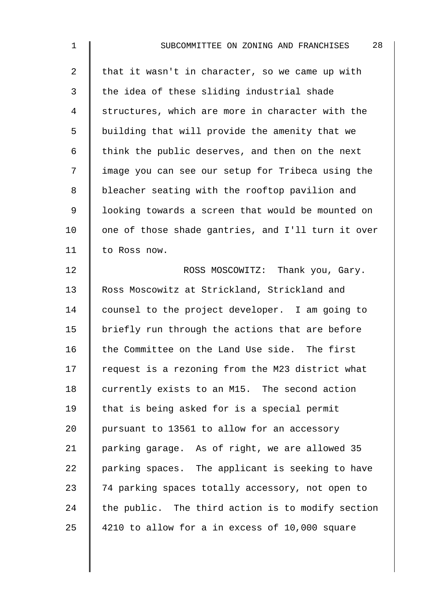| $\mathbf{1}$   | 28<br>SUBCOMMITTEE ON ZONING AND FRANCHISES        |
|----------------|----------------------------------------------------|
| $\overline{a}$ | that it wasn't in character, so we came up with    |
| 3              | the idea of these sliding industrial shade         |
| 4              | structures, which are more in character with the   |
| 5              | building that will provide the amenity that we     |
| 6              | think the public deserves, and then on the next    |
| 7              | image you can see our setup for Tribeca using the  |
| 8              | bleacher seating with the rooftop pavilion and     |
| $\mathsf 9$    | looking towards a screen that would be mounted on  |
| 10             | one of those shade gantries, and I'll turn it over |
| 11             | to Ross now.                                       |
| 12             | ROSS MOSCOWITZ: Thank you, Gary.                   |
| 13             | Ross Moscowitz at Strickland, Strickland and       |
| 14             | counsel to the project developer. I am going to    |
| 15             | briefly run through the actions that are before    |
| 16             | the Committee on the Land Use side. The first      |
| 17             | request is a rezoning from the M23 district what   |
| 18             | currently exists to an M15. The second action      |
| 19             | that is being asked for is a special permit        |
| 20             | pursuant to 13561 to allow for an accessory        |
| 21             | parking garage. As of right, we are allowed 35     |
| 22             | parking spaces. The applicant is seeking to have   |
| 23             | 74 parking spaces totally accessory, not open to   |
| 24             | the public. The third action is to modify section  |
| 25             | 4210 to allow for a in excess of 10,000 square     |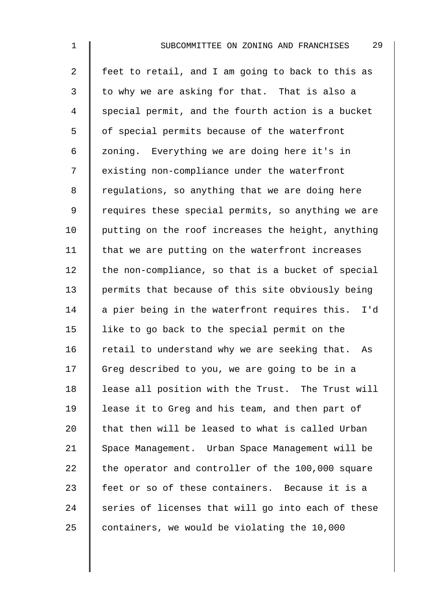2  $\parallel$  feet to retail, and I am going to back to this as  $3 \parallel$  to why we are asking for that. That is also a 4 Special permit, and the fourth action is a bucket 5 | of special permits because of the waterfront 6  $\parallel$  zoning. Everything we are doing here it's in 7 | existing non-compliance under the waterfront 8 | regulations, so anything that we are doing here 9 | requires these special permits, so anything we are  $10$  | putting on the roof increases the height, anything 11  $\parallel$  that we are putting on the waterfront increases  $12$  the non-compliance, so that is a bucket of special 13 permits that because of this site obviously being 14  $\parallel$  a pier being in the waterfront requires this. I'd 15  $\parallel$  like to go back to the special permit on the 16  $\parallel$  retail to understand why we are seeking that. As 17 Greg described to you, we are going to be in a 18 | lease all position with the Trust. The Trust will 19 lease it to Greg and his team, and then part of 20  $\parallel$  that then will be leased to what is called Urban 21 Space Management. Urban Space Management will be 22  $\parallel$  the operator and controller of the 100,000 square 23 feet or so of these containers. Because it is a  $24$  series of licenses that will go into each of these 25 containers, we would be violating the 10,000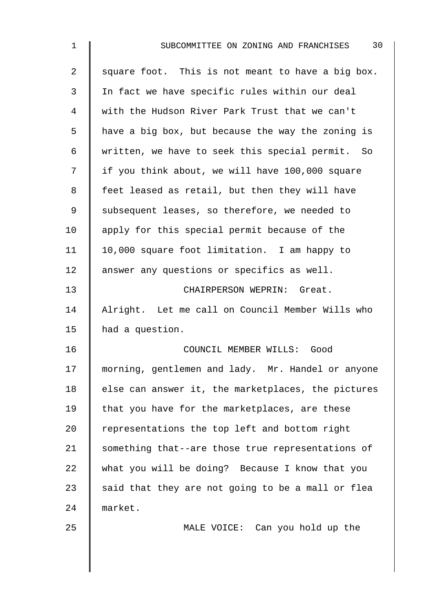| $\mathbf 1$    | 30<br>SUBCOMMITTEE ON ZONING AND FRANCHISES        |
|----------------|----------------------------------------------------|
| $\overline{2}$ | square foot. This is not meant to have a big box.  |
| 3              | In fact we have specific rules within our deal     |
| 4              | with the Hudson River Park Trust that we can't     |
| 5              | have a big box, but because the way the zoning is  |
| 6              | written, we have to seek this special permit. So   |
| 7              | if you think about, we will have 100,000 square    |
| 8              | feet leased as retail, but then they will have     |
| 9              | subsequent leases, so therefore, we needed to      |
| 10             | apply for this special permit because of the       |
| 11             | 10,000 square foot limitation. I am happy to       |
| 12             | answer any questions or specifics as well.         |
| 13             | CHAIRPERSON WEPRIN: Great.                         |
| 14             | Alright. Let me call on Council Member Wills who   |
| 15             | had a question.                                    |
| 16             | COUNCIL MEMBER WILLS: Good                         |
| 17             | morning, gentlemen and lady. Mr. Handel or anyone  |
| 18             | else can answer it, the marketplaces, the pictures |
| 19             | that you have for the marketplaces, are these      |
| 20             | representations the top left and bottom right      |
| 21             | something that--are those true representations of  |
| 22             | what you will be doing? Because I know that you    |
| 23             | said that they are not going to be a mall or flea  |
| 24             | market.                                            |
| 25             | MALE VOICE: Can you hold up the                    |
|                |                                                    |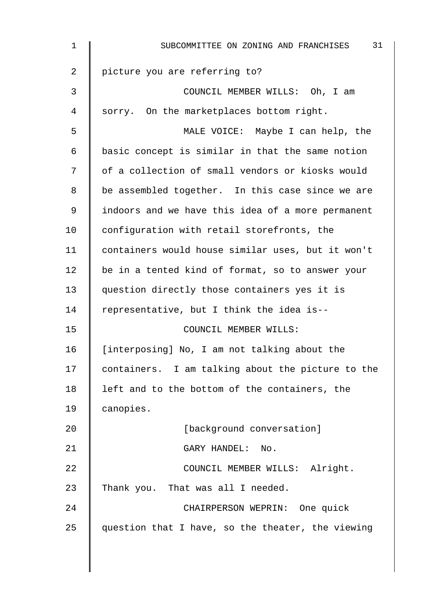| $\mathbf 1$ | 31<br>SUBCOMMITTEE ON ZONING AND FRANCHISES       |
|-------------|---------------------------------------------------|
| 2           | picture you are referring to?                     |
| 3           | COUNCIL MEMBER WILLS: Oh, I am                    |
| 4           | sorry. On the marketplaces bottom right.          |
| 5           | MALE VOICE: Maybe I can help, the                 |
| 6           | basic concept is similar in that the same notion  |
| 7           | of a collection of small vendors or kiosks would  |
| 8           | be assembled together. In this case since we are  |
| 9           | indoors and we have this idea of a more permanent |
| 10          | configuration with retail storefronts, the        |
| 11          | containers would house similar uses, but it won't |
| 12          | be in a tented kind of format, so to answer your  |
| 13          | question directly those containers yes it is      |
| 14          | representative, but I think the idea is--         |
| 15          | COUNCIL MEMBER WILLS:                             |
| 16          | [interposing] No, I am not talking about the      |
| 17          | containers. I am talking about the picture to the |
| 18          | left and to the bottom of the containers, the     |
| 19          | canopies.                                         |
| 20          | [background conversation]                         |
| 21          | GARY HANDEL:<br>No.                               |
| 22          | COUNCIL MEMBER WILLS: Alright.                    |
| 23          | Thank you. That was all I needed.                 |
| 24          | CHAIRPERSON WEPRIN: One quick                     |
| 25          | question that I have, so the theater, the viewing |
|             |                                                   |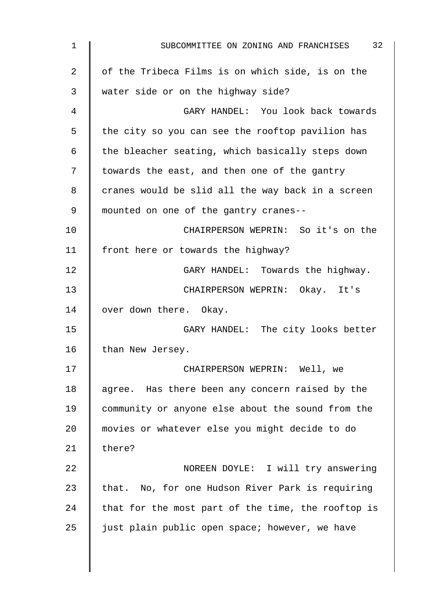| $\mathbf 1$    | 32<br>SUBCOMMITTEE ON ZONING AND FRANCHISES        |
|----------------|----------------------------------------------------|
| $\overline{2}$ | of the Tribeca Films is on which side, is on the   |
| 3              | water side or on the highway side?                 |
| 4              | GARY HANDEL: You look back towards                 |
| 5              | the city so you can see the rooftop pavilion has   |
| 6              | the bleacher seating, which basically steps down   |
| 7              | towards the east, and then one of the gantry       |
| 8              | cranes would be slid all the way back in a screen  |
| 9              | mounted on one of the gantry cranes--              |
| 10             | CHAIRPERSON WEPRIN: So it's on the                 |
| 11             | front here or towards the highway?                 |
| 12             | GARY HANDEL: Towards the highway.                  |
| 13             | CHAIRPERSON WEPRIN: Okay. It's                     |
| 14             | over down there. Okay.                             |
| 15             | GARY HANDEL: The city looks better                 |
| 16             | than New Jersey.                                   |
| 17             | CHAIRPERSON WEPRIN: Well, we                       |
| 18             | agree. Has there been any concern raised by the    |
| 19             | community or anyone else about the sound from the  |
| 20             | movies or whatever else you might decide to do     |
| 21             | there?                                             |
| 22             | NOREEN DOYLE: I will try answering                 |
| 23             | that. No, for one Hudson River Park is requiring   |
| 24             | that for the most part of the time, the rooftop is |
| 25             | just plain public open space; however, we have     |
|                |                                                    |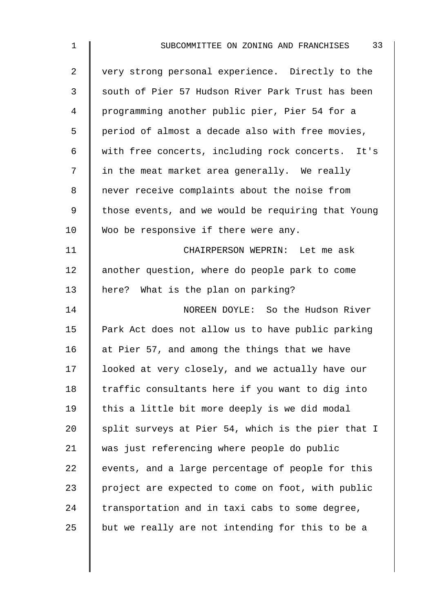| 1              | 33<br>SUBCOMMITTEE ON ZONING AND FRANCHISES        |
|----------------|----------------------------------------------------|
| $\overline{a}$ | very strong personal experience. Directly to the   |
| $\mathfrak{Z}$ | south of Pier 57 Hudson River Park Trust has been  |
| 4              | programming another public pier, Pier 54 for a     |
| 5              | period of almost a decade also with free movies,   |
| 6              | with free concerts, including rock concerts. It's  |
| 7              | in the meat market area generally. We really       |
| 8              | never receive complaints about the noise from      |
| 9              | those events, and we would be requiring that Young |
| 10             | Woo be responsive if there were any.               |
| 11             | CHAIRPERSON WEPRIN: Let me ask                     |
| 12             | another question, where do people park to come     |
| 13             | here? What is the plan on parking?                 |
| 14             | NOREEN DOYLE: So the Hudson River                  |
| 15             | Park Act does not allow us to have public parking  |
| 16             | at Pier 57, and among the things that we have      |
| 17             | looked at very closely, and we actually have our   |
| 18             | traffic consultants here if you want to dig into   |
| 19             | this a little bit more deeply is we did modal      |
| 20             | split surveys at Pier 54, which is the pier that I |
| 21             | was just referencing where people do public        |
| 22             | events, and a large percentage of people for this  |
| 23             | project are expected to come on foot, with public  |
| 24             | transportation and in taxi cabs to some degree,    |
| 25             | but we really are not intending for this to be a   |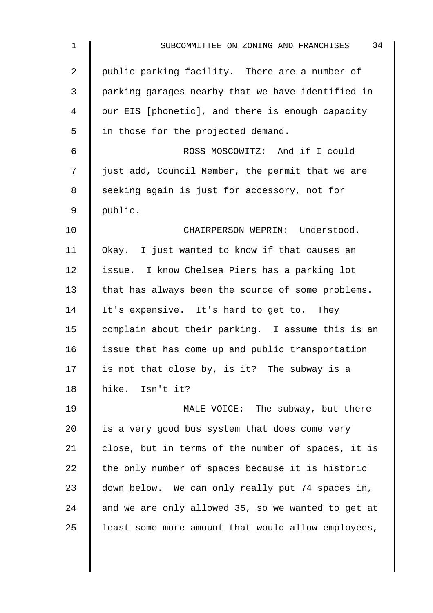| $\mathbf 1$    | 34<br>SUBCOMMITTEE ON ZONING AND FRANCHISES        |
|----------------|----------------------------------------------------|
| $\overline{2}$ | public parking facility. There are a number of     |
| 3              | parking garages nearby that we have identified in  |
| 4              | our EIS [phonetic], and there is enough capacity   |
| 5              | in those for the projected demand.                 |
| 6              | ROSS MOSCOWITZ: And if I could                     |
| 7              | just add, Council Member, the permit that we are   |
| 8              | seeking again is just for accessory, not for       |
| 9              | public.                                            |
| 10             | CHAIRPERSON WEPRIN: Understood.                    |
| 11             | Okay. I just wanted to know if that causes an      |
| 12             | issue. I know Chelsea Piers has a parking lot      |
| 13             | that has always been the source of some problems.  |
| 14             | It's expensive. It's hard to get to. They          |
| 15             | complain about their parking. I assume this is an  |
| 16             | issue that has come up and public transportation   |
| 17             | is not that close by, is it? The subway is a       |
| 18             | hike. Isn't it?                                    |
| 19             | MALE VOICE: The subway, but there                  |
| 20             | is a very good bus system that does come very      |
| 21             | close, but in terms of the number of spaces, it is |
| 22             | the only number of spaces because it is historic   |
| 23             | down below. We can only really put 74 spaces in,   |
| 24             | and we are only allowed 35, so we wanted to get at |
| 25             | least some more amount that would allow employees, |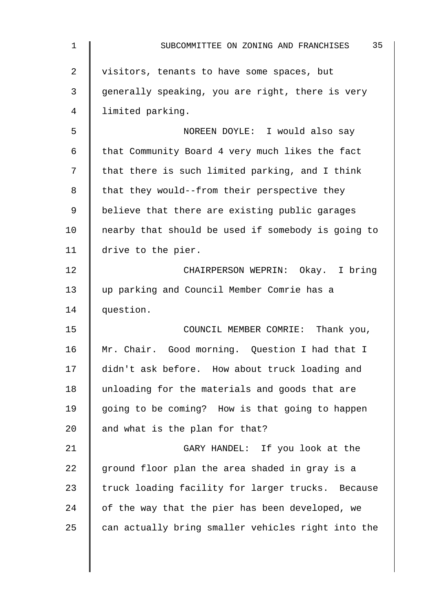| 1  | 35<br>SUBCOMMITTEE ON ZONING AND FRANCHISES        |
|----|----------------------------------------------------|
| 2  | visitors, tenants to have some spaces, but         |
| 3  | generally speaking, you are right, there is very   |
| 4  | limited parking.                                   |
| 5  | NOREEN DOYLE: I would also say                     |
| 6  | that Community Board 4 very much likes the fact    |
| 7  | that there is such limited parking, and I think    |
| 8  | that they would--from their perspective they       |
| 9  | believe that there are existing public garages     |
| 10 | nearby that should be used if somebody is going to |
| 11 | drive to the pier.                                 |
| 12 | CHAIRPERSON WEPRIN: Okay. I bring                  |
| 13 | up parking and Council Member Comrie has a         |
| 14 | question.                                          |
| 15 | COUNCIL MEMBER COMRIE: Thank you,                  |
| 16 | Mr. Chair. Good morning. Question I had that I     |
| 17 | didn't ask before. How about truck loading and     |
| 18 | unloading for the materials and goods that are     |
| 19 | going to be coming? How is that going to happen    |
| 20 | and what is the plan for that?                     |
| 21 | GARY HANDEL: If you look at the                    |
| 22 | ground floor plan the area shaded in gray is a     |
| 23 | truck loading facility for larger trucks. Because  |
| 24 | of the way that the pier has been developed, we    |
| 25 | can actually bring smaller vehicles right into the |
|    |                                                    |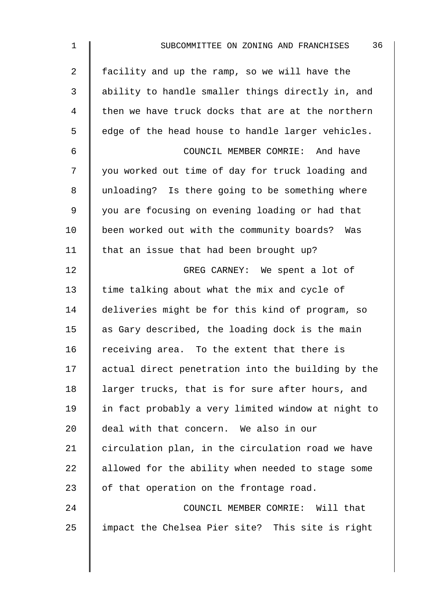| $\mathbf 1$    | 36<br>SUBCOMMITTEE ON ZONING AND FRANCHISES        |
|----------------|----------------------------------------------------|
| $\overline{2}$ | facility and up the ramp, so we will have the      |
| 3              | ability to handle smaller things directly in, and  |
| 4              | then we have truck docks that are at the northern  |
| 5              | edge of the head house to handle larger vehicles.  |
| 6              | COUNCIL MEMBER COMRIE: And have                    |
| 7              | you worked out time of day for truck loading and   |
| 8              | unloading? Is there going to be something where    |
| 9              | you are focusing on evening loading or had that    |
| 10             | been worked out with the community boards? Was     |
| 11             | that an issue that had been brought up?            |
| 12             | GREG CARNEY: We spent a lot of                     |
| 13             | time talking about what the mix and cycle of       |
| 14             | deliveries might be for this kind of program, so   |
| 15             | as Gary described, the loading dock is the main    |
| 16             | receiving area. To the extent that there is        |
| 17             | actual direct penetration into the building by the |
| 18             | larger trucks, that is for sure after hours, and   |
| 19             | in fact probably a very limited window at night to |
| 20             | deal with that concern. We also in our             |
| 21             | circulation plan, in the circulation road we have  |
| 22             | allowed for the ability when needed to stage some  |
| 23             | of that operation on the frontage road.            |
| 24             | COUNCIL MEMBER COMRIE: Will that                   |
| 25             | impact the Chelsea Pier site? This site is right   |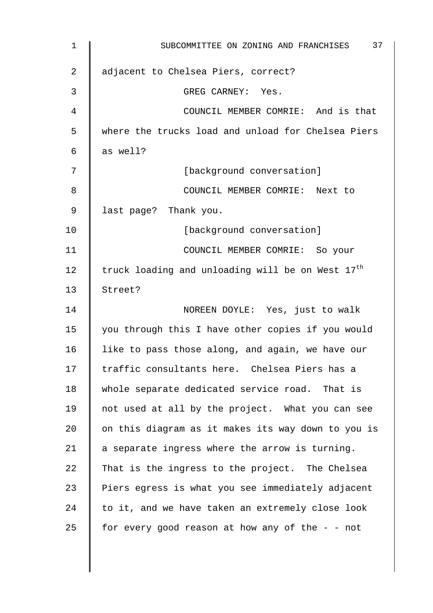| $\mathbf 1$    | 37<br>SUBCOMMITTEE ON ZONING AND FRANCHISES                  |
|----------------|--------------------------------------------------------------|
| $\overline{2}$ | adjacent to Chelsea Piers, correct?                          |
| 3              | GREG CARNEY: Yes.                                            |
| 4              | COUNCIL MEMBER COMRIE: And is that                           |
| 5              | where the trucks load and unload for Chelsea Piers           |
| 6              | as well?                                                     |
| 7              | [background conversation]                                    |
| 8              | COUNCIL MEMBER COMRIE: Next to                               |
| $\mathsf 9$    | last page? Thank you.                                        |
| 10             | [background conversation]                                    |
| 11             | COUNCIL MEMBER COMRIE: So your                               |
| 12             | truck loading and unloading will be on West 17 <sup>th</sup> |
| 13             | Street?                                                      |
| 14             | NOREEN DOYLE: Yes, just to walk                              |
| 15             | you through this I have other copies if you would            |
| 16             | like to pass those along, and again, we have our             |
| 17             | traffic consultants here. Chelsea Piers has a                |
| 18             | whole separate dedicated service road. That is               |
| 19             | not used at all by the project. What you can see             |
| 20             | on this diagram as it makes its way down to you is           |
| 21             | a separate ingress where the arrow is turning.               |
| 22             | That is the ingress to the project. The Chelsea              |
| 23             | Piers egress is what you see immediately adjacent            |
| 24             | to it, and we have taken an extremely close look             |
| 25             | for every good reason at how any of the - - not              |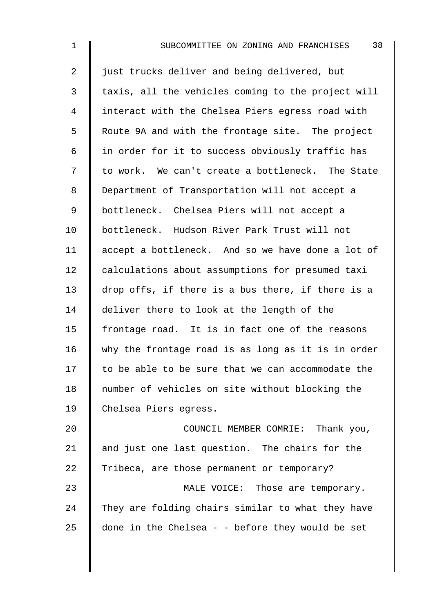2 | just trucks deliver and being delivered, but  $3 \parallel$  taxis, all the vehicles coming to the project will 4 I interact with the Chelsea Piers egress road with 5 | Route 9A and with the frontage site. The project  $6$  | in order for it to success obviously traffic has 7 | to work. We can't create a bottleneck. The State 8 Department of Transportation will not accept a 9 | bottleneck. Chelsea Piers will not accept a 10 bottleneck. Hudson River Park Trust will not 11 | accept a bottleneck. And so we have done a lot of 12 calculations about assumptions for presumed taxi 13 drop offs, if there is a bus there, if there is a 14 deliver there to look at the length of the 15 frontage road. It is in fact one of the reasons 16 why the frontage road is as long as it is in order  $17$  to be able to be sure that we can accommodate the 18 number of vehicles on site without blocking the 19 Chelsea Piers egress. 20 **COUNCIL MEMBER COMRIE:** Thank you, 21  $\parallel$  and just one last question. The chairs for the

23 **MALE VOICE:** Those are temporary.  $24$  They are folding chairs similar to what they have 25  $\parallel$  done in the Chelsea - - before they would be set

22 Tribeca, are those permanent or temporary?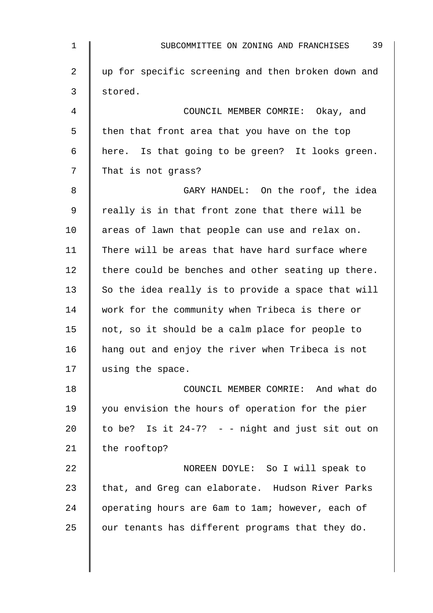| $\mathbf 1$ | 39<br>SUBCOMMITTEE ON ZONING AND FRANCHISES         |
|-------------|-----------------------------------------------------|
| 2           | up for specific screening and then broken down and  |
| 3           | stored.                                             |
| 4           | COUNCIL MEMBER COMRIE: Okay, and                    |
| 5           | then that front area that you have on the top       |
| 6           | here. Is that going to be green? It looks green.    |
| 7           | That is not grass?                                  |
| 8           | GARY HANDEL: On the roof, the idea                  |
| 9           | really is in that front zone that there will be     |
| 10          | areas of lawn that people can use and relax on.     |
| 11          | There will be areas that have hard surface where    |
| 12          | there could be benches and other seating up there.  |
| 13          | So the idea really is to provide a space that will  |
| 14          | work for the community when Tribeca is there or     |
| 15          | not, so it should be a calm place for people to     |
| 16          | hang out and enjoy the river when Tribeca is not    |
| 17          | using the space.                                    |
| 18          | COUNCIL MEMBER COMRIE: And what do                  |
| 19          | you envision the hours of operation for the pier    |
| 20          | to be? Is it $24-7$ ? - - night and just sit out on |
| 21          | the rooftop?                                        |
| 22          | NOREEN DOYLE: So I will speak to                    |
| 23          | that, and Greg can elaborate. Hudson River Parks    |
| 24          | operating hours are 6am to lam; however, each of    |
| 25          | our tenants has different programs that they do.    |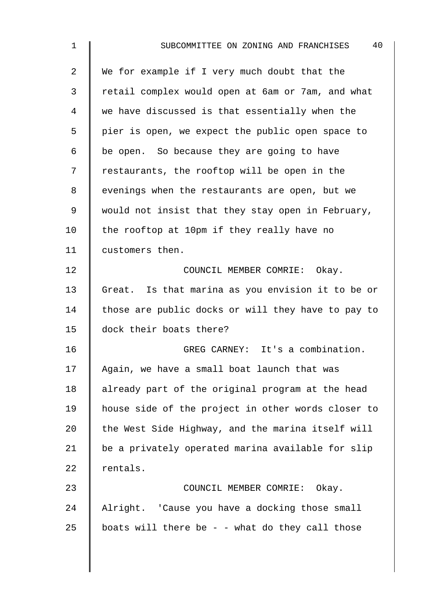| $\mathbf{1}$ | 40<br>SUBCOMMITTEE ON ZONING AND FRANCHISES        |
|--------------|----------------------------------------------------|
| 2            | We for example if I very much doubt that the       |
| 3            | retail complex would open at 6am or 7am, and what  |
| 4            | we have discussed is that essentially when the     |
| 5            | pier is open, we expect the public open space to   |
| 6            | be open. So because they are going to have         |
| 7            | restaurants, the rooftop will be open in the       |
| 8            | evenings when the restaurants are open, but we     |
| 9            | would not insist that they stay open in February,  |
| 10           | the rooftop at 10pm if they really have no         |
| 11           | customers then.                                    |
| 12           | COUNCIL MEMBER COMRIE: Okay.                       |
| 13           | Great. Is that marina as you envision it to be or  |
| 14           | those are public docks or will they have to pay to |
| 15           | dock their boats there?                            |
| 16           | GREG CARNEY: It's a combination.                   |
| 17           | Again, we have a small boat launch that was        |
| 18           | already part of the original program at the head   |
| 19           | house side of the project in other words closer to |
| 20           | the West Side Highway, and the marina itself will  |
| 21           | be a privately operated marina available for slip  |
| 22           | rentals.                                           |
| 23           | COUNCIL MEMBER COMRIE: Okay.                       |
| 24           | Alright. 'Cause you have a docking those small     |
| 25           | boats will there be - - what do they call those    |
|              |                                                    |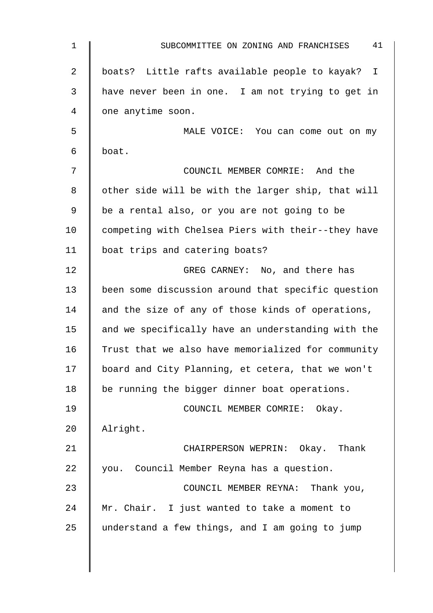| 1  | 41<br>SUBCOMMITTEE ON ZONING AND FRANCHISES        |
|----|----------------------------------------------------|
| 2  | boats? Little rafts available people to kayak? I   |
| 3  | have never been in one. I am not trying to get in  |
| 4  | one anytime soon.                                  |
| 5  | MALE VOICE: You can come out on my                 |
| 6  | boat.                                              |
| 7  | COUNCIL MEMBER COMRIE: And the                     |
| 8  | other side will be with the larger ship, that will |
| 9  | be a rental also, or you are not going to be       |
| 10 | competing with Chelsea Piers with their--they have |
| 11 | boat trips and catering boats?                     |
| 12 | GREG CARNEY: No, and there has                     |
| 13 | been some discussion around that specific question |
| 14 | and the size of any of those kinds of operations,  |
| 15 | and we specifically have an understanding with the |
| 16 | Trust that we also have memorialized for community |
| 17 | board and City Planning, et cetera, that we won't  |
| 18 | be running the bigger dinner boat operations.      |
| 19 | COUNCIL MEMBER COMRIE: Okay.                       |
| 20 | Alright.                                           |
| 21 | CHAIRPERSON WEPRIN: Okay. Thank                    |
| 22 | you. Council Member Reyna has a question.          |
| 23 | COUNCIL MEMBER REYNA: Thank you,                   |
| 24 | Mr. Chair. I just wanted to take a moment to       |
| 25 | understand a few things, and I am going to jump    |
|    |                                                    |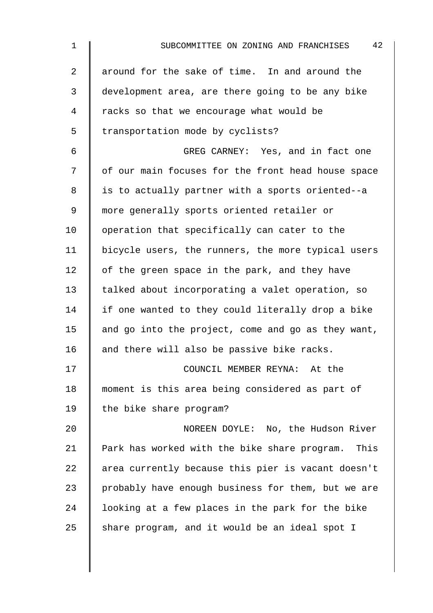| $\mathbf 1$    | 42<br>SUBCOMMITTEE ON ZONING AND FRANCHISES        |
|----------------|----------------------------------------------------|
| $\overline{a}$ | around for the sake of time. In and around the     |
| 3              | development area, are there going to be any bike   |
| 4              | racks so that we encourage what would be           |
| 5              | transportation mode by cyclists?                   |
| 6              | GREG CARNEY: Yes, and in fact one                  |
| 7              | of our main focuses for the front head house space |
| 8              | is to actually partner with a sports oriented--a   |
| 9              | more generally sports oriented retailer or         |
| 10             | operation that specifically can cater to the       |
| 11             | bicycle users, the runners, the more typical users |
| 12             | of the green space in the park, and they have      |
| 13             | talked about incorporating a valet operation, so   |
| 14             | if one wanted to they could literally drop a bike  |
| 15             | and go into the project, come and go as they want, |
| 16             | and there will also be passive bike racks.         |
| 17             | COUNCIL MEMBER REYNA: At the                       |
| 18             | moment is this area being considered as part of    |
| 19             | the bike share program?                            |
| 20             | NOREEN DOYLE: No, the Hudson River                 |
| 21             | Park has worked with the bike share program. This  |
| 22             | area currently because this pier is vacant doesn't |
| 23             | probably have enough business for them, but we are |
| 24             | looking at a few places in the park for the bike   |
| 25             | share program, and it would be an ideal spot I     |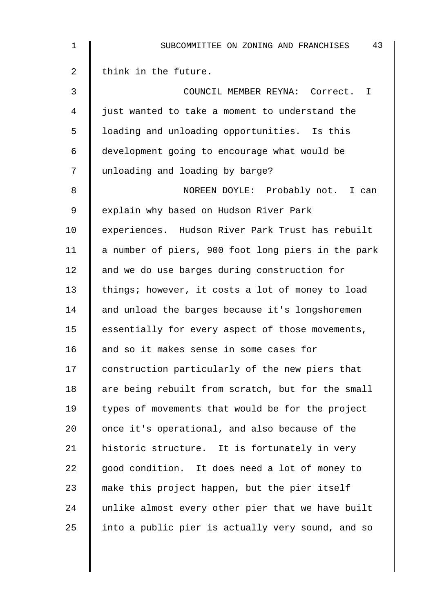| $\mathbf 1$    | 43<br>SUBCOMMITTEE ON ZONING AND FRANCHISES        |
|----------------|----------------------------------------------------|
| $\overline{2}$ | think in the future.                               |
| 3              | COUNCIL MEMBER REYNA: Correct. I                   |
| 4              | just wanted to take a moment to understand the     |
| 5              | loading and unloading opportunities. Is this       |
| 6              | development going to encourage what would be       |
| 7              | unloading and loading by barge?                    |
| 8              | NOREEN DOYLE: Probably not. I can                  |
| 9              | explain why based on Hudson River Park             |
| 10             | experiences. Hudson River Park Trust has rebuilt   |
| 11             | a number of piers, 900 foot long piers in the park |
| 12             | and we do use barges during construction for       |
| 13             | things; however, it costs a lot of money to load   |
| 14             | and unload the barges because it's longshoremen    |
| 15             | essentially for every aspect of those movements,   |
| 16             | and so it makes sense in some cases for            |
| 17             | construction particularly of the new piers that    |
| 18             | are being rebuilt from scratch, but for the small  |
| 19             | types of movements that would be for the project   |
| 20             | once it's operational, and also because of the     |
| 21             | historic structure. It is fortunately in very      |
| 22             | good condition. It does need a lot of money to     |
| 23             | make this project happen, but the pier itself      |
| 24             | unlike almost every other pier that we have built  |
| 25             | into a public pier is actually very sound, and so  |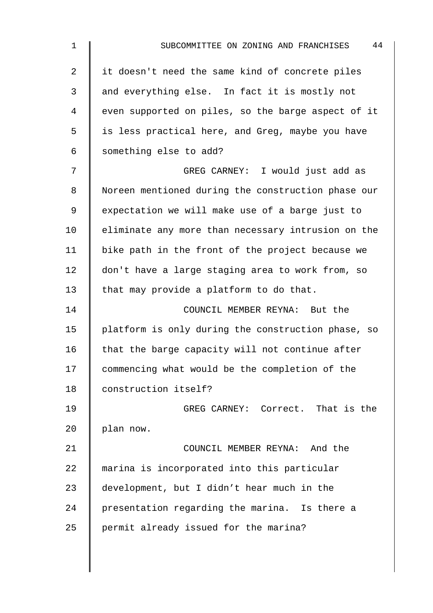| $\mathbf 1$    | 44<br>SUBCOMMITTEE ON ZONING AND FRANCHISES        |
|----------------|----------------------------------------------------|
| $\overline{2}$ | it doesn't need the same kind of concrete piles    |
| 3              | and everything else. In fact it is mostly not      |
| 4              | even supported on piles, so the barge aspect of it |
| 5              | is less practical here, and Greg, maybe you have   |
| $\epsilon$     | something else to add?                             |
| 7              | GREG CARNEY: I would just add as                   |
| 8              | Noreen mentioned during the construction phase our |
| 9              | expectation we will make use of a barge just to    |
| 10             | eliminate any more than necessary intrusion on the |
| 11             | bike path in the front of the project because we   |
| 12             | don't have a large staging area to work from, so   |
| 13             | that may provide a platform to do that.            |
| 14             | COUNCIL MEMBER REYNA: But the                      |
| 15             | platform is only during the construction phase, so |
| 16             | that the barge capacity will not continue after    |
| 17             | commencing what would be the completion of the     |
| 18             | construction itself?                               |
| 19             | GREG CARNEY: Correct. That is the                  |
| 20             | plan now.                                          |
| 21             | COUNCIL MEMBER REYNA: And the                      |
| 22             | marina is incorporated into this particular        |
| 23             | development, but I didn't hear much in the         |
| 24             | presentation regarding the marina. Is there a      |
| 25             | permit already issued for the marina?              |
|                |                                                    |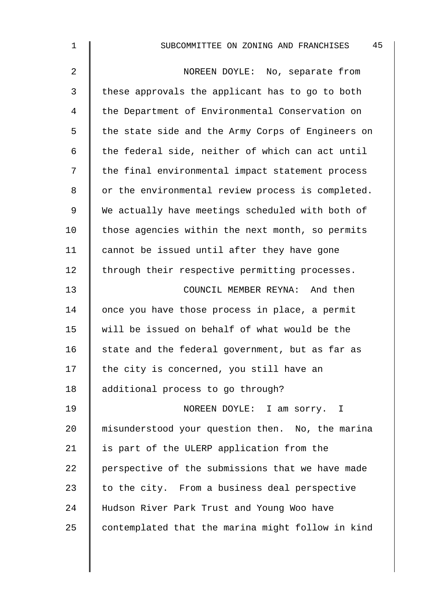| $\mathbf 1$    | 45<br>SUBCOMMITTEE ON ZONING AND FRANCHISES       |
|----------------|---------------------------------------------------|
| $\overline{2}$ | NOREEN DOYLE: No, separate from                   |
| 3              | these approvals the applicant has to go to both   |
| 4              | the Department of Environmental Conservation on   |
| 5              | the state side and the Army Corps of Engineers on |
| 6              | the federal side, neither of which can act until  |
| 7              | the final environmental impact statement process  |
| 8              | or the environmental review process is completed. |
| 9              | We actually have meetings scheduled with both of  |
| 10             | those agencies within the next month, so permits  |
| 11             | cannot be issued until after they have gone       |
| 12             | through their respective permitting processes.    |
| 13             | COUNCIL MEMBER REYNA: And then                    |
| 14             | once you have those process in place, a permit    |
| 15             | will be issued on behalf of what would be the     |
| 16             | state and the federal government, but as far as   |
| 17             | the city is concerned, you still have an          |
| 18             | additional process to go through?                 |
| 19             | NOREEN DOYLE: I am sorry. I                       |
| 20             | misunderstood your question then. No, the marina  |
| 21             | is part of the ULERP application from the         |
| 22             | perspective of the submissions that we have made  |
| 23             | to the city. From a business deal perspective     |
| 24             | Hudson River Park Trust and Young Woo have        |
| 25             | contemplated that the marina might follow in kind |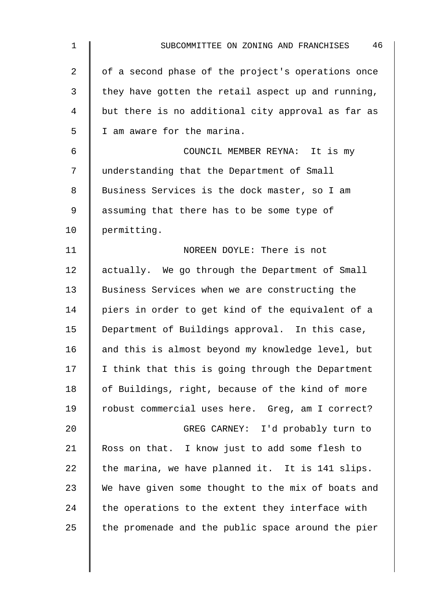| $\mathbf 1$    | 46<br>SUBCOMMITTEE ON ZONING AND FRANCHISES        |
|----------------|----------------------------------------------------|
| $\overline{2}$ | of a second phase of the project's operations once |
| 3              | they have gotten the retail aspect up and running, |
| $\overline{4}$ | but there is no additional city approval as far as |
| 5              | I am aware for the marina.                         |
| 6              | COUNCIL MEMBER REYNA: It is my                     |
| 7              | understanding that the Department of Small         |
| 8              | Business Services is the dock master, so I am      |
| $\mathsf 9$    | assuming that there has to be some type of         |
| 10             | permitting.                                        |
| 11             | NOREEN DOYLE: There is not                         |
| 12             | actually. We go through the Department of Small    |
| 13             | Business Services when we are constructing the     |
| 14             | piers in order to get kind of the equivalent of a  |
| 15             | Department of Buildings approval. In this case,    |
| 16             | and this is almost beyond my knowledge level, but  |
| 17             | I think that this is going through the Department  |
| 18             | of Buildings, right, because of the kind of more   |
| 19             | robust commercial uses here. Greg, am I correct?   |
| 20             | GREG CARNEY: I'd probably turn to                  |
| 21             | Ross on that. I know just to add some flesh to     |
| 22             | the marina, we have planned it. It is 141 slips.   |
| 23             | We have given some thought to the mix of boats and |
| 24             | the operations to the extent they interface with   |
| 25             | the promenade and the public space around the pier |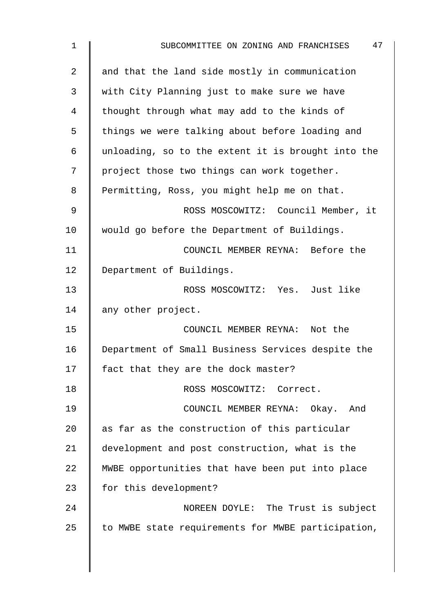| $\mathbf 1$ | 47<br>SUBCOMMITTEE ON ZONING AND FRANCHISES        |
|-------------|----------------------------------------------------|
| 2           | and that the land side mostly in communication     |
| 3           | with City Planning just to make sure we have       |
| 4           | thought through what may add to the kinds of       |
| 5           | things we were talking about before loading and    |
| 6           | unloading, so to the extent it is brought into the |
| 7           | project those two things can work together.        |
| 8           | Permitting, Ross, you might help me on that.       |
| 9           | ROSS MOSCOWITZ: Council Member, it                 |
| 10          | would go before the Department of Buildings.       |
| 11          | COUNCIL MEMBER REYNA: Before the                   |
| 12          | Department of Buildings.                           |
| 13          | ROSS MOSCOWITZ: Yes. Just like                     |
| 14          | any other project.                                 |
| 15          | COUNCIL MEMBER REYNA: Not the                      |
| 16          | Department of Small Business Services despite the  |
| 17          | fact that they are the dock master?                |
| 18          | ROSS MOSCOWITZ: Correct.                           |
| 19          | COUNCIL MEMBER REYNA: Okay. And                    |
| 20          | as far as the construction of this particular      |
| 21          | development and post construction, what is the     |
| 22          | MWBE opportunities that have been put into place   |
| 23          | for this development?                              |
| 24          | NOREEN DOYLE: The Trust is subject                 |
| 25          | to MWBE state requirements for MWBE participation, |
|             |                                                    |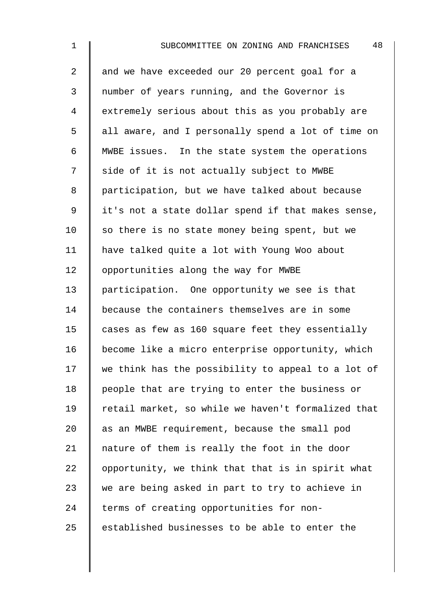2 and we have exceeded our 20 percent goal for a 3 number of years running, and the Governor is 4 extremely serious about this as you probably are 5 || all aware, and I personally spend a lot of time on 6 MWBE issues. In the state system the operations 7 | side of it is not actually subject to MWBE 8 participation, but we have talked about because 9 | it's not a state dollar spend if that makes sense,  $10$  so there is no state money being spent, but we 11 have talked quite a lot with Young Woo about 12 | opportunities along the way for MWBE 13 | participation. One opportunity we see is that 14 because the containers themselves are in some 15 cases as few as 160 square feet they essentially 16 | become like a micro enterprise opportunity, which  $17$  we think has the possibility to appeal to a lot of 18 | people that are trying to enter the business or 19 Tetail market, so while we haven't formalized that 20  $\parallel$  as an MWBE requirement, because the small pod 21 | nature of them is really the foot in the door 22  $\parallel$  opportunity, we think that that is in spirit what 23  $\parallel$  we are being asked in part to try to achieve in  $24$  | terms of creating opportunities for non- $25$  | established businesses to be able to enter the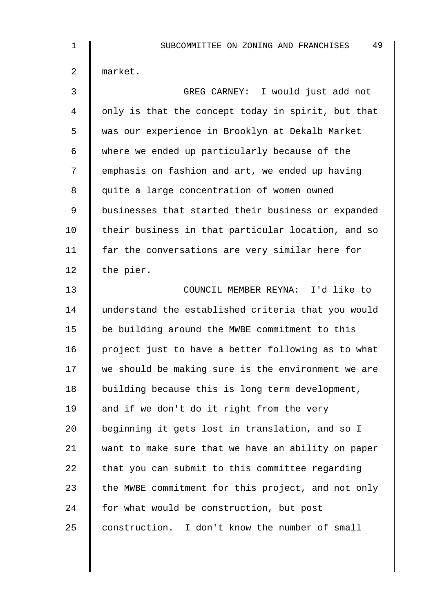| $\mathbf 1$    | 49<br>SUBCOMMITTEE ON ZONING AND FRANCHISES        |
|----------------|----------------------------------------------------|
| $\overline{2}$ | market.                                            |
| 3              | GREG CARNEY: I would just add not                  |
| 4              | only is that the concept today in spirit, but that |
| 5              | was our experience in Brooklyn at Dekalb Market    |
| 6              | where we ended up particularly because of the      |
| 7              | emphasis on fashion and art, we ended up having    |
| 8              | quite a large concentration of women owned         |
| $\mathsf 9$    | businesses that started their business or expanded |
| 10             | their business in that particular location, and so |
| 11             | far the conversations are very similar here for    |
| 12             | the pier.                                          |
| 13             | COUNCIL MEMBER REYNA: I'd like to                  |
| 14             | understand the established criteria that you would |
| 15             | be building around the MWBE commitment to this     |
| 16             | project just to have a better following as to what |
| 17             | we should be making sure is the environment we are |
| 18             | building because this is long term development,    |
| 19             | and if we don't do it right from the very          |
| 20             | beginning it gets lost in translation, and so I    |
| 21             | want to make sure that we have an ability on paper |
| 22             | that you can submit to this committee regarding    |
| 23             | the MWBE commitment for this project, and not only |
| 24             | for what would be construction, but post           |
| 25             | construction. I don't know the number of small     |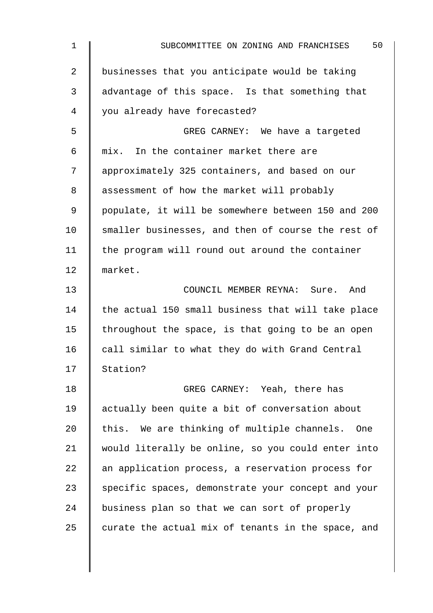| $\mathbf 1$    | 50<br>SUBCOMMITTEE ON ZONING AND FRANCHISES        |
|----------------|----------------------------------------------------|
| $\overline{2}$ | businesses that you anticipate would be taking     |
| 3              | advantage of this space. Is that something that    |
| 4              | you already have forecasted?                       |
| 5              | GREG CARNEY: We have a targeted                    |
| 6              | mix. In the container market there are             |
| 7              | approximately 325 containers, and based on our     |
| 8              | assessment of how the market will probably         |
| 9              | populate, it will be somewhere between 150 and 200 |
| 10             | smaller businesses, and then of course the rest of |
| 11             | the program will round out around the container    |
| 12             | market.                                            |
| 13             | COUNCIL MEMBER REYNA: Sure. And                    |
| 14             | the actual 150 small business that will take place |
| 15             | throughout the space, is that going to be an open  |
| 16             | call similar to what they do with Grand Central    |
| 17             | Station?                                           |
| 18             | GREG CARNEY: Yeah, there has                       |
| 19             | actually been quite a bit of conversation about    |
| 20             | this. We are thinking of multiple channels.<br>One |
| 21             | would literally be online, so you could enter into |
| 22             | an application process, a reservation process for  |
| 23             | specific spaces, demonstrate your concept and your |
| 24             | business plan so that we can sort of properly      |
| 25             | curate the actual mix of tenants in the space, and |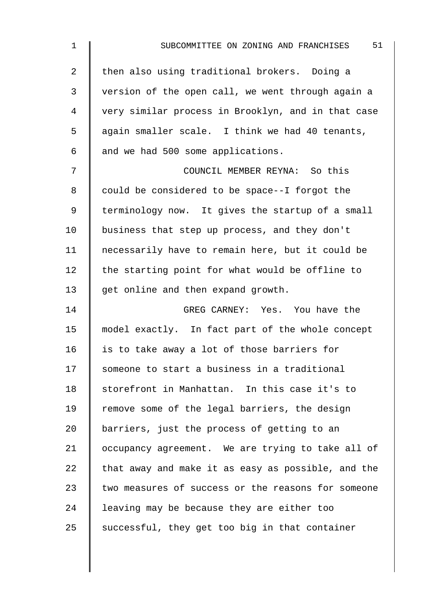| 1              | 51<br>SUBCOMMITTEE ON ZONING AND FRANCHISES        |
|----------------|----------------------------------------------------|
| 2              | then also using traditional brokers. Doing a       |
| $\mathfrak{Z}$ | version of the open call, we went through again a  |
| 4              | very similar process in Brooklyn, and in that case |
| 5              | again smaller scale. I think we had 40 tenants,    |
| 6              | and we had 500 some applications.                  |
| 7              | COUNCIL MEMBER REYNA: So this                      |
| 8              | could be considered to be space--I forgot the      |
| 9              | terminology now. It gives the startup of a small   |
| 10             | business that step up process, and they don't      |
| 11             | necessarily have to remain here, but it could be   |
| 12             | the starting point for what would be offline to    |
| 13             | get online and then expand growth.                 |
| 14             | GREG CARNEY: Yes. You have the                     |
| 15             | model exactly. In fact part of the whole concept   |
| 16             | is to take away a lot of those barriers for        |
| 17             | someone to start a business in a traditional       |
| 18             | storefront in Manhattan. In this case it's to      |
| 19             | remove some of the legal barriers, the design      |
| 20             | barriers, just the process of getting to an        |
| 21             | occupancy agreement. We are trying to take all of  |
| 22             | that away and make it as easy as possible, and the |
| 23             | two measures of success or the reasons for someone |
| 24             | leaving may be because they are either too         |
| 25             | successful, they get too big in that container     |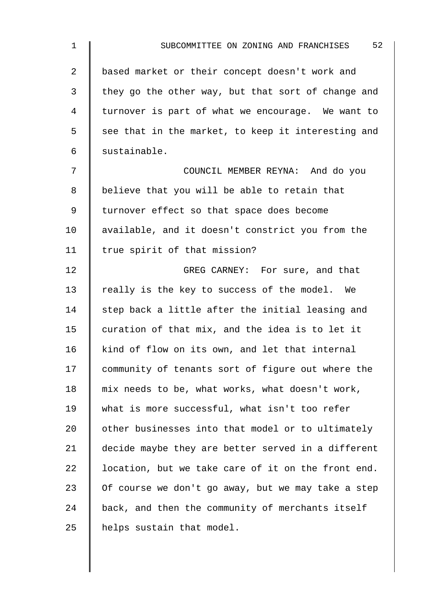| $\mathbf{1}$   | 52<br>SUBCOMMITTEE ON ZONING AND FRANCHISES        |
|----------------|----------------------------------------------------|
| $\overline{2}$ | based market or their concept doesn't work and     |
| $\mathfrak{Z}$ | they go the other way, but that sort of change and |
| 4              | turnover is part of what we encourage. We want to  |
| 5              | see that in the market, to keep it interesting and |
| 6              | sustainable.                                       |
| 7              | COUNCIL MEMBER REYNA: And do you                   |
| 8              | believe that you will be able to retain that       |
| 9              | turnover effect so that space does become          |
| 10             | available, and it doesn't constrict you from the   |
| 11             | true spirit of that mission?                       |
| 12             | GREG CARNEY: For sure, and that                    |
| 13             | really is the key to success of the model. We      |
| 14             | step back a little after the initial leasing and   |
| 15             | curation of that mix, and the idea is to let it    |
| 16             | kind of flow on its own, and let that internal     |
| 17             | community of tenants sort of figure out where the  |
| 18             | mix needs to be, what works, what doesn't work,    |
| 19             | what is more successful, what isn't too refer      |
| 20             | other businesses into that model or to ultimately  |
| 21             | decide maybe they are better served in a different |
| 22             | location, but we take care of it on the front end. |
| 23             | Of course we don't go away, but we may take a step |
| 24             | back, and then the community of merchants itself   |
| 25             | helps sustain that model.                          |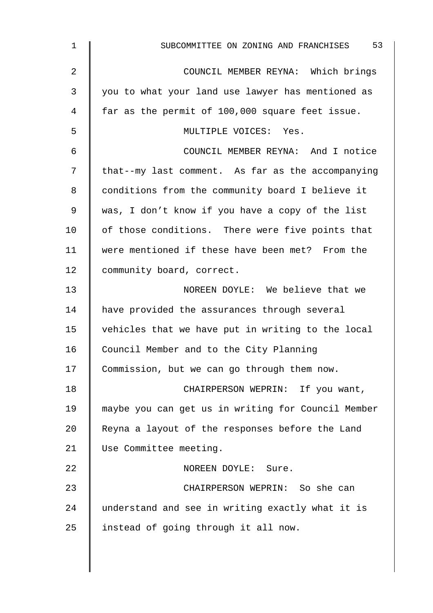| 1  | 53<br>SUBCOMMITTEE ON ZONING AND FRANCHISES        |
|----|----------------------------------------------------|
| 2  | COUNCIL MEMBER REYNA: Which brings                 |
| 3  | you to what your land use lawyer has mentioned as  |
| 4  | far as the permit of 100,000 square feet issue.    |
| 5  | MULTIPLE VOICES: Yes.                              |
| 6  | COUNCIL MEMBER REYNA: And I notice                 |
| 7  | that--my last comment. As far as the accompanying  |
| 8  | conditions from the community board I believe it   |
| 9  | was, I don't know if you have a copy of the list   |
| 10 | of those conditions. There were five points that   |
| 11 | were mentioned if these have been met? From the    |
| 12 | community board, correct.                          |
| 13 | NOREEN DOYLE: We believe that we                   |
| 14 | have provided the assurances through several       |
| 15 | vehicles that we have put in writing to the local  |
| 16 | Council Member and to the City Planning            |
| 17 | Commission, but we can go through them now.        |
| 18 | CHAIRPERSON WEPRIN: If you want,                   |
| 19 | maybe you can get us in writing for Council Member |
| 20 | Reyna a layout of the responses before the Land    |
| 21 | Use Committee meeting.                             |
| 22 | NOREEN DOYLE: Sure.                                |
| 23 | CHAIRPERSON WEPRIN: So she can                     |
| 24 | understand and see in writing exactly what it is   |
| 25 | instead of going through it all now.               |
|    |                                                    |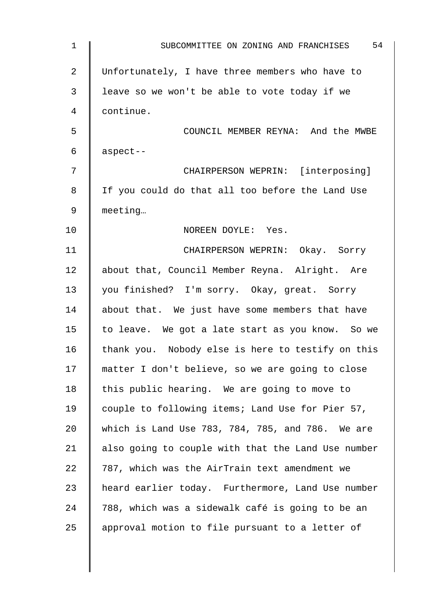| $\mathbf 1$ | 54<br>SUBCOMMITTEE ON ZONING AND FRANCHISES        |
|-------------|----------------------------------------------------|
| 2           | Unfortunately, I have three members who have to    |
| 3           | leave so we won't be able to vote today if we      |
| 4           | continue.                                          |
| 5           | COUNCIL MEMBER REYNA: And the MWBE                 |
| 6           | aspect--                                           |
| 7           | CHAIRPERSON WEPRIN: [interposing]                  |
| 8           | If you could do that all too before the Land Use   |
| 9           | meeting                                            |
| 10          | NOREEN DOYLE: Yes.                                 |
| 11          | CHAIRPERSON WEPRIN: Okay. Sorry                    |
| 12          | about that, Council Member Reyna. Alright. Are     |
| 13          | you finished? I'm sorry. Okay, great. Sorry        |
| 14          | about that. We just have some members that have    |
| 15          | to leave. We got a late start as you know. So we   |
| 16          | thank you. Nobody else is here to testify on this  |
| 17          | matter I don't believe, so we are going to close   |
| 18          | this public hearing. We are going to move to       |
| 19          | couple to following items; Land Use for Pier 57,   |
| 20          | which is Land Use 783, 784, 785, and 786. We are   |
| 21          | also going to couple with that the Land Use number |
| 22          | 787, which was the AirTrain text amendment we      |
| 23          | heard earlier today. Furthermore, Land Use number  |
| 24          | 788, which was a sidewalk café is going to be an   |
| 25          | approval motion to file pursuant to a letter of    |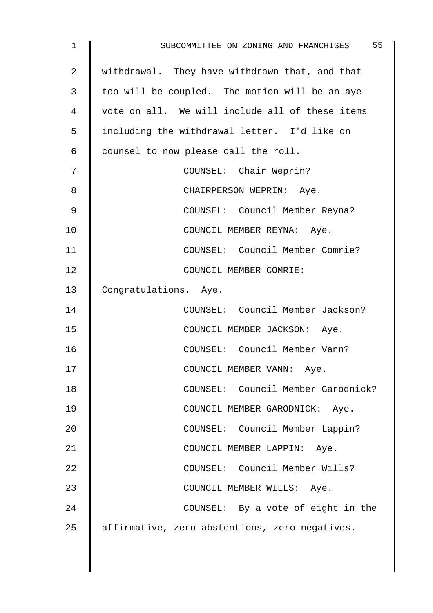| $\mathbf 1$    | 55<br>SUBCOMMITTEE ON ZONING AND FRANCHISES     |
|----------------|-------------------------------------------------|
| $\overline{2}$ | withdrawal. They have withdrawn that, and that  |
| 3              | too will be coupled. The motion will be an aye  |
| 4              | vote on all. We will include all of these items |
| 5              | including the withdrawal letter. I'd like on    |
| 6              | counsel to now please call the roll.            |
| 7              | COUNSEL: Chair Weprin?                          |
| 8              | CHAIRPERSON WEPRIN: Aye.                        |
| 9              | COUNSEL: Council Member Reyna?                  |
| 10             | COUNCIL MEMBER REYNA: Aye.                      |
| 11             | COUNSEL: Council Member Comrie?                 |
| 12             | COUNCIL MEMBER COMRIE:                          |
| 13             | Congratulations. Aye.                           |
| 14             | COUNSEL: Council Member Jackson?                |
| 15             | COUNCIL MEMBER JACKSON: Aye.                    |
| 16             | COUNSEL: Council Member Vann?                   |
| 17             | COUNCIL MEMBER VANN: Aye.                       |
| 18             | COUNSEL: Council Member Garodnick?              |
| 19             | COUNCIL MEMBER GARODNICK: Aye.                  |
| 20             | COUNSEL: Council Member Lappin?                 |
| 21             | COUNCIL MEMBER LAPPIN: Aye.                     |
| 22             | COUNSEL: Council Member Wills?                  |
| 23             | COUNCIL MEMBER WILLS: Aye.                      |
| 24             | COUNSEL: By a vote of eight in the              |
| 25             | affirmative, zero abstentions, zero negatives.  |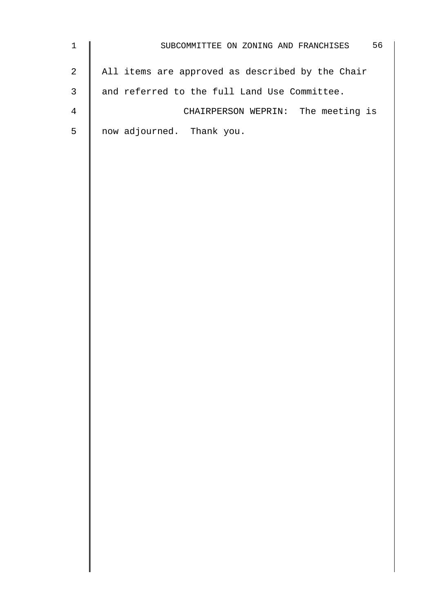| $\mathbf{1}$   | 56<br>SUBCOMMITTEE ON ZONING AND FRANCHISES      |
|----------------|--------------------------------------------------|
| $\overline{a}$ | All items are approved as described by the Chair |
| $\mathsf{3}$   | and referred to the full Land Use Committee.     |
| $\overline{4}$ | CHAIRPERSON WEPRIN: The meeting is               |
| 5              | now adjourned. Thank you.                        |
|                |                                                  |
|                |                                                  |
|                |                                                  |
|                |                                                  |
|                |                                                  |
|                |                                                  |
|                |                                                  |
|                |                                                  |
|                |                                                  |
|                |                                                  |
|                |                                                  |
|                |                                                  |
|                |                                                  |
|                |                                                  |
|                |                                                  |
|                |                                                  |
|                |                                                  |
|                |                                                  |
|                |                                                  |
|                |                                                  |
|                |                                                  |